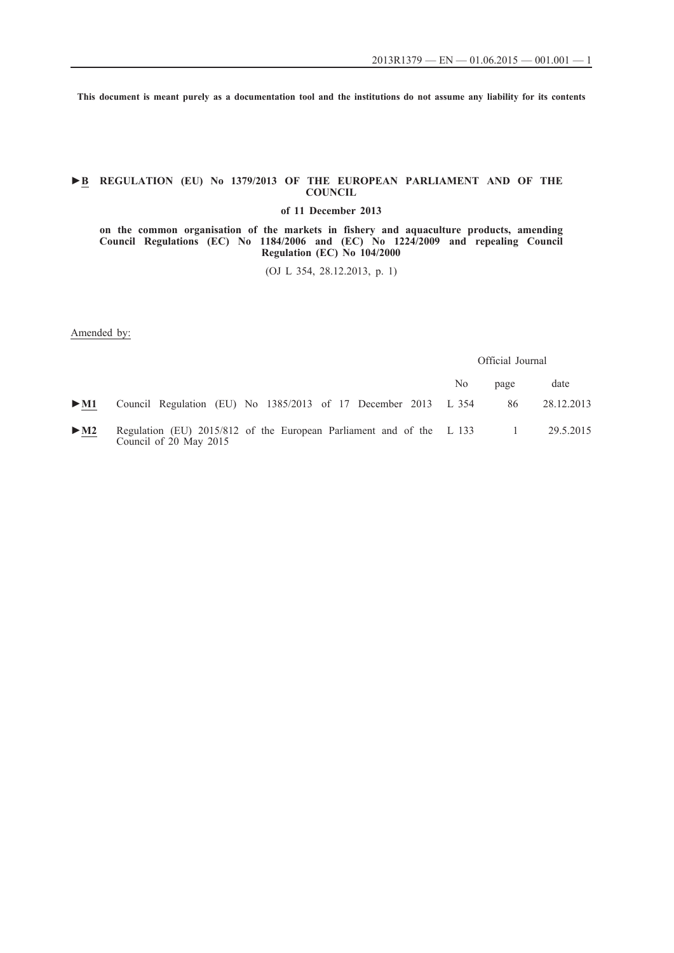**This document is meant purely as a documentation tool and the institutions do not assume any liability for its contents**

# **►B REGULATION (EU) No 1379/2013 OF THE EUROPEAN PARLIAMENT AND OF THE COUNCIL**

**of 11 December 2013**

**on the common organisation of the markets in fishery and aquaculture products, amending Council Regulations (EC) No 1184/2006 and (EC) No 1224/2009 and repealing Council Regulation (EC) No 104/2000**

(OJ L 354, 28.12.2013, p. 1)

Amended by:

Official Journal

|                          |                                                                                                | No. | page                | date       |
|--------------------------|------------------------------------------------------------------------------------------------|-----|---------------------|------------|
| $\blacktriangleright$ M1 | Council Regulation (EU) No 1385/2013 of 17 December 2013 L 354                                 |     | 86                  | 28.12.2013 |
| $\blacktriangleright$ M2 | Regulation (EU) 2015/812 of the European Parliament and of the L 133<br>Council of 20 May 2015 |     | $\sim$ 1.000 $\sim$ | 29.5.2015  |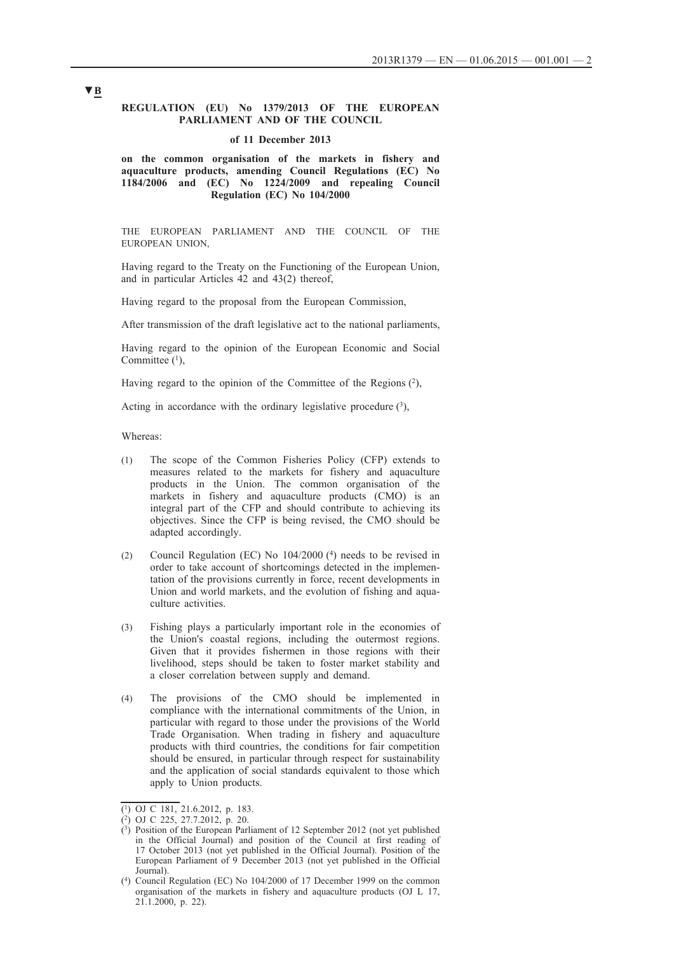## **REGULATION (EU) No 1379/2013 OF THE EUROPEAN PARLIAMENT AND OF THE COUNCIL**

#### **of 11 December 2013**

**on the common organisation of the markets in fishery and aquaculture products, amending Council Regulations (EC) No 1184/2006 and (EC) No 1224/2009 and repealing Council Regulation (EC) No 104/2000**

THE EUROPEAN PARLIAMENT AND THE COUNCIL OF THE EUROPEAN UNION,

Having regard to the Treaty on the Functioning of the European Union, and in particular Articles 42 and 43(2) thereof,

Having regard to the proposal from the European Commission,

After transmission of the draft legislative act to the national parliaments,

Having regard to the opinion of the European Economic and Social Committee  $(1)$ ,

Having regard to the opinion of the Committee of the Regions  $(2)$ ,

Acting in accordance with the ordinary legislative procedure  $(3)$ ,

Whereas:

- (1) The scope of the Common Fisheries Policy (CFP) extends to measures related to the markets for fishery and aquaculture products in the Union. The common organisation of the markets in fishery and aquaculture products (CMO) is an integral part of the CFP and should contribute to achieving its objectives. Since the CFP is being revised, the CMO should be adapted accordingly.
- (2) Council Regulation (EC) No 104/2000 (4) needs to be revised in order to take account of shortcomings detected in the implementation of the provisions currently in force, recent developments in Union and world markets, and the evolution of fishing and aquaculture activities.
- (3) Fishing plays a particularly important role in the economies of the Union's coastal regions, including the outermost regions. Given that it provides fishermen in those regions with their livelihood, steps should be taken to foster market stability and a closer correlation between supply and demand.
- (4) The provisions of the CMO should be implemented in compliance with the international commitments of the Union, in particular with regard to those under the provisions of the World Trade Organisation. When trading in fishery and aquaculture products with third countries, the conditions for fair competition should be ensured, in particular through respect for sustainability and the application of social standards equivalent to those which apply to Union products.

 $\overline{(^1)}$  OJ C 181, 21.6.2012, p. 183.

<sup>(2)</sup> OJ C 225, 27.7.2012, p. 20.

 $(3)$  Position of the European Parliament of 12 September 2012 (not yet published in the Official Journal) and position of the Council at first reading of 17 October 2013 (not yet published in the Official Journal). Position of the European Parliament of 9 December 2013 (not yet published in the Official Journal).

<sup>(4)</sup> Council Regulation (EC) No 104/2000 of 17 December 1999 on the common organisation of the markets in fishery and aquaculture products (OJ L 17, 21.1.2000, p. 22).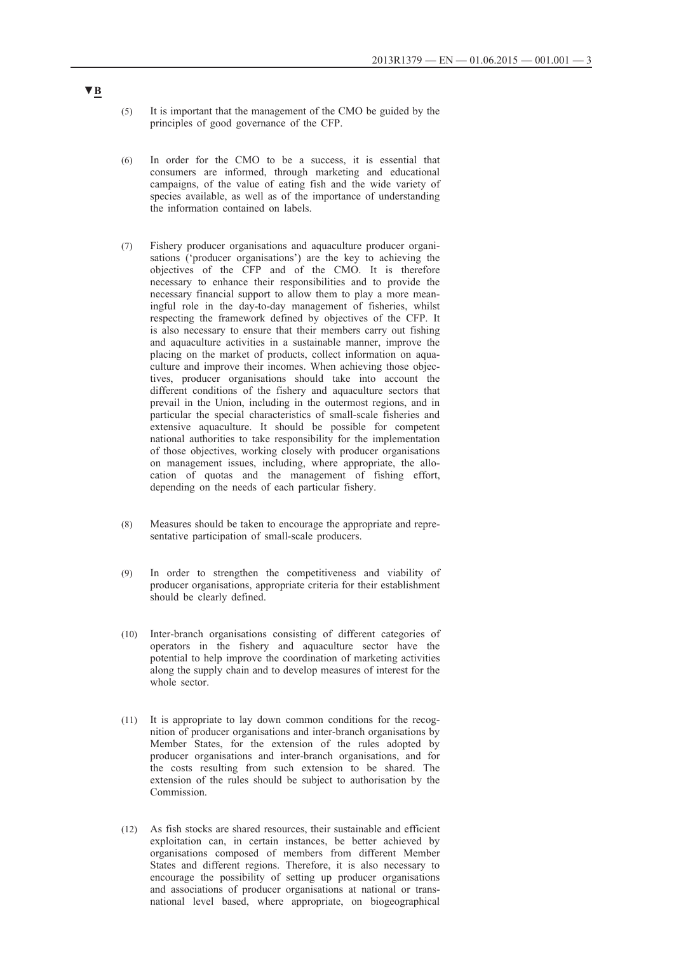- (5) It is important that the management of the CMO be guided by the principles of good governance of the CFP.
- (6) In order for the CMO to be a success, it is essential that consumers are informed, through marketing and educational campaigns, of the value of eating fish and the wide variety of species available, as well as of the importance of understanding the information contained on labels.
- (7) Fishery producer organisations and aquaculture producer organisations ('producer organisations') are the key to achieving the objectives of the CFP and of the CMO. It is therefore necessary to enhance their responsibilities and to provide the necessary financial support to allow them to play a more meaningful role in the day-to-day management of fisheries, whilst respecting the framework defined by objectives of the CFP. It is also necessary to ensure that their members carry out fishing and aquaculture activities in a sustainable manner, improve the placing on the market of products, collect information on aquaculture and improve their incomes. When achieving those objectives, producer organisations should take into account the different conditions of the fishery and aquaculture sectors that prevail in the Union, including in the outermost regions, and in particular the special characteristics of small-scale fisheries and extensive aquaculture. It should be possible for competent national authorities to take responsibility for the implementation of those objectives, working closely with producer organisations on management issues, including, where appropriate, the allocation of quotas and the management of fishing effort, depending on the needs of each particular fishery.
- (8) Measures should be taken to encourage the appropriate and representative participation of small-scale producers.
- (9) In order to strengthen the competitiveness and viability of producer organisations, appropriate criteria for their establishment should be clearly defined.
- (10) Inter-branch organisations consisting of different categories of operators in the fishery and aquaculture sector have the potential to help improve the coordination of marketing activities along the supply chain and to develop measures of interest for the whole sector.
- (11) It is appropriate to lay down common conditions for the recognition of producer organisations and inter-branch organisations by Member States, for the extension of the rules adopted by producer organisations and inter-branch organisations, and for the costs resulting from such extension to be shared. The extension of the rules should be subject to authorisation by the **Commission**
- (12) As fish stocks are shared resources, their sustainable and efficient exploitation can, in certain instances, be better achieved by organisations composed of members from different Member States and different regions. Therefore, it is also necessary to encourage the possibility of setting up producer organisations and associations of producer organisations at national or transnational level based, where appropriate, on biogeographical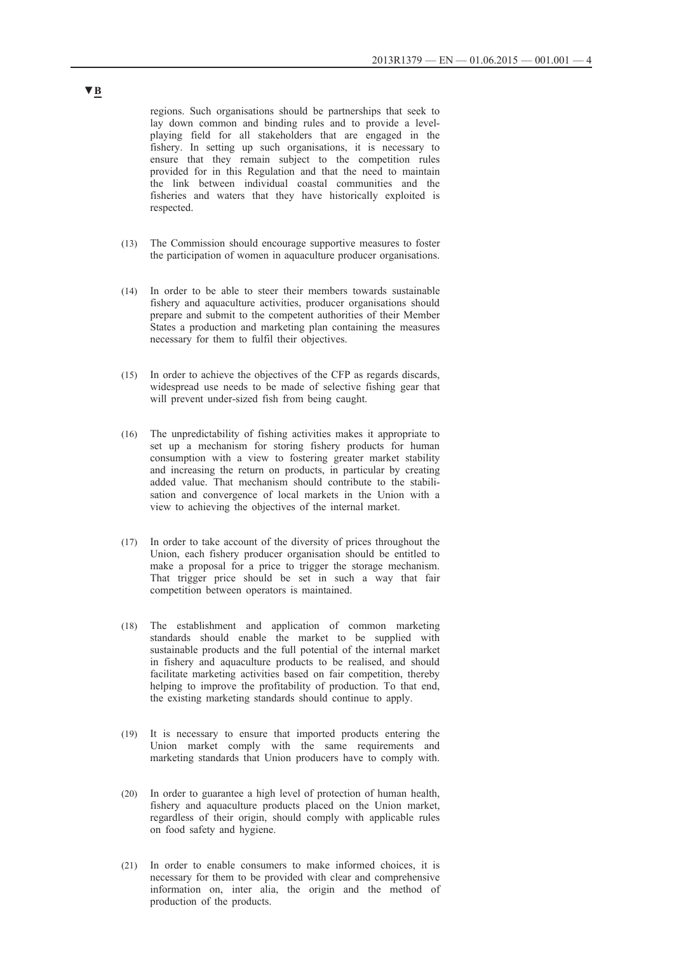regions. Such organisations should be partnerships that seek to lay down common and binding rules and to provide a levelplaying field for all stakeholders that are engaged in the fishery. In setting up such organisations, it is necessary to ensure that they remain subject to the competition rules provided for in this Regulation and that the need to maintain the link between individual coastal communities and the fisheries and waters that they have historically exploited is respected.

- (13) The Commission should encourage supportive measures to foster the participation of women in aquaculture producer organisations.
- (14) In order to be able to steer their members towards sustainable fishery and aquaculture activities, producer organisations should prepare and submit to the competent authorities of their Member States a production and marketing plan containing the measures necessary for them to fulfil their objectives.
- (15) In order to achieve the objectives of the CFP as regards discards, widespread use needs to be made of selective fishing gear that will prevent under-sized fish from being caught.
- (16) The unpredictability of fishing activities makes it appropriate to set up a mechanism for storing fishery products for human consumption with a view to fostering greater market stability and increasing the return on products, in particular by creating added value. That mechanism should contribute to the stabilisation and convergence of local markets in the Union with a view to achieving the objectives of the internal market.
- (17) In order to take account of the diversity of prices throughout the Union, each fishery producer organisation should be entitled to make a proposal for a price to trigger the storage mechanism. That trigger price should be set in such a way that fair competition between operators is maintained.
- (18) The establishment and application of common marketing standards should enable the market to be supplied with sustainable products and the full potential of the internal market in fishery and aquaculture products to be realised, and should facilitate marketing activities based on fair competition, thereby helping to improve the profitability of production. To that end, the existing marketing standards should continue to apply.
- (19) It is necessary to ensure that imported products entering the Union market comply with the same requirements and marketing standards that Union producers have to comply with.
- (20) In order to guarantee a high level of protection of human health, fishery and aquaculture products placed on the Union market, regardless of their origin, should comply with applicable rules on food safety and hygiene.
- (21) In order to enable consumers to make informed choices, it is necessary for them to be provided with clear and comprehensive information on, inter alia, the origin and the method of production of the products.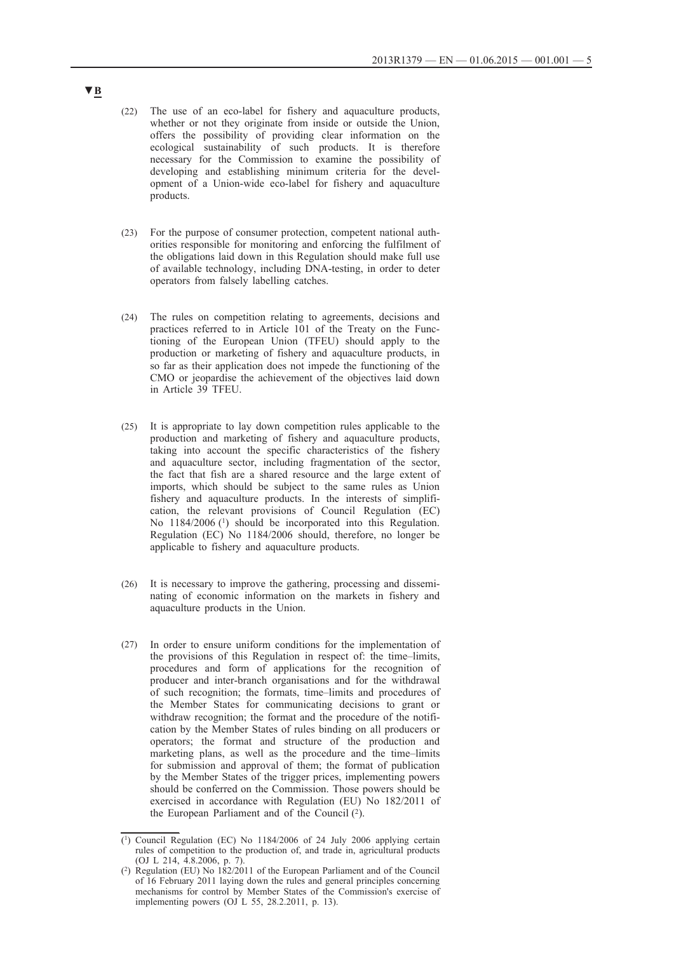- (22) The use of an eco-label for fishery and aquaculture products, whether or not they originate from inside or outside the Union, offers the possibility of providing clear information on the ecological sustainability of such products. It is therefore necessary for the Commission to examine the possibility of developing and establishing minimum criteria for the development of a Union-wide eco-label for fishery and aquaculture products.
- (23) For the purpose of consumer protection, competent national authorities responsible for monitoring and enforcing the fulfilment of the obligations laid down in this Regulation should make full use of available technology, including DNA-testing, in order to deter operators from falsely labelling catches.
- (24) The rules on competition relating to agreements, decisions and practices referred to in Article 101 of the Treaty on the Functioning of the European Union (TFEU) should apply to the production or marketing of fishery and aquaculture products, in so far as their application does not impede the functioning of the CMO or jeopardise the achievement of the objectives laid down in Article 39 TFEU.
- (25) It is appropriate to lay down competition rules applicable to the production and marketing of fishery and aquaculture products, taking into account the specific characteristics of the fishery and aquaculture sector, including fragmentation of the sector, the fact that fish are a shared resource and the large extent of imports, which should be subject to the same rules as Union fishery and aquaculture products. In the interests of simplification, the relevant provisions of Council Regulation (EC) No 1184/2006<sup>(1)</sup> should be incorporated into this Regulation. Regulation (EC) No 1184/2006 should, therefore, no longer be applicable to fishery and aquaculture products.
- (26) It is necessary to improve the gathering, processing and disseminating of economic information on the markets in fishery and aquaculture products in the Union.
- (27) In order to ensure uniform conditions for the implementation of the provisions of this Regulation in respect of: the time–limits, procedures and form of applications for the recognition of producer and inter-branch organisations and for the withdrawal of such recognition; the formats, time–limits and procedures of the Member States for communicating decisions to grant or withdraw recognition; the format and the procedure of the notification by the Member States of rules binding on all producers or operators; the format and structure of the production and marketing plans, as well as the procedure and the time–limits for submission and approval of them; the format of publication by the Member States of the trigger prices, implementing powers should be conferred on the Commission. Those powers should be exercised in accordance with Regulation (EU) No 182/2011 of the European Parliament and of the Council  $(2)$ .

<sup>(1)</sup> Council Regulation (EC) No 1184/2006 of 24 July 2006 applying certain rules of competition to the production of, and trade in, agricultural products (OJ L 214, 4.8.2006, p. 7).

<sup>(2)</sup> Regulation (EU) No 182/2011 of the European Parliament and of the Council of 16 February 2011 laying down the rules and general principles concerning mechanisms for control by Member States of the Commission's exercise of implementing powers (OJ L 55, 28.2.2011, p. 13).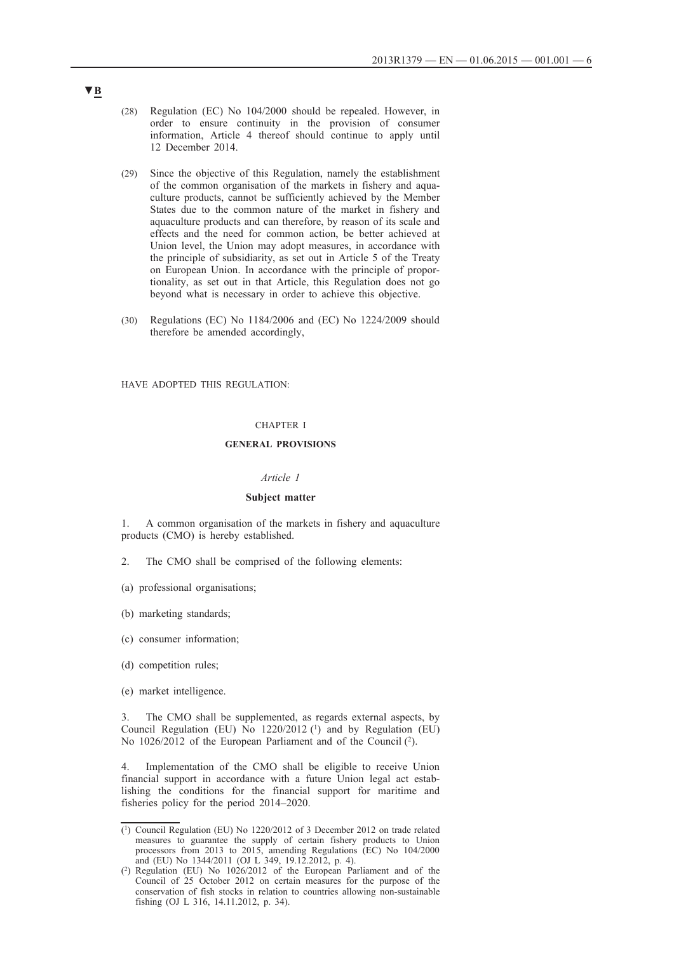- (28) Regulation (EC) No 104/2000 should be repealed. However, in order to ensure continuity in the provision of consumer information, Article 4 thereof should continue to apply until 12 December 2014.
- (29) Since the objective of this Regulation, namely the establishment of the common organisation of the markets in fishery and aquaculture products, cannot be sufficiently achieved by the Member States due to the common nature of the market in fishery and aquaculture products and can therefore, by reason of its scale and effects and the need for common action, be better achieved at Union level, the Union may adopt measures, in accordance with the principle of subsidiarity, as set out in Article 5 of the Treaty on European Union. In accordance with the principle of proportionality, as set out in that Article, this Regulation does not go beyond what is necessary in order to achieve this objective.
- (30) Regulations (EC) No 1184/2006 and (EC) No 1224/2009 should therefore be amended accordingly,

HAVE ADOPTED THIS REGULATION:

### CHAPTER I

#### **GENERAL PROVISIONS**

## *Article 1*

#### **Subject matter**

1. A common organisation of the markets in fishery and aquaculture products (CMO) is hereby established.

- 2. The CMO shall be comprised of the following elements:
- (a) professional organisations;
- (b) marketing standards;
- (c) consumer information;
- (d) competition rules;
- (e) market intelligence.

The CMO shall be supplemented, as regards external aspects, by Council Regulation (EU) No  $1220/2012$  (<sup>1</sup>) and by Regulation (EU) No 1026/2012 of the European Parliament and of the Council (2).

4. Implementation of the CMO shall be eligible to receive Union financial support in accordance with a future Union legal act establishing the conditions for the financial support for maritime and fisheries policy for the period 2014–2020.

<sup>(1)</sup> Council Regulation (EU) No 1220/2012 of 3 December 2012 on trade related measures to guarantee the supply of certain fishery products to Union processors from 2013 to 2015, amending Regulations (EC) No 104/2000 and (EU) No 1344/2011 (OJ L 349, 19.12.2012, p. 4).

<sup>(2)</sup> Regulation (EU) No 1026/2012 of the European Parliament and of the Council of 25 October 2012 on certain measures for the purpose of the conservation of fish stocks in relation to countries allowing non-sustainable fishing (OJ L 316, 14.11.2012, p. 34).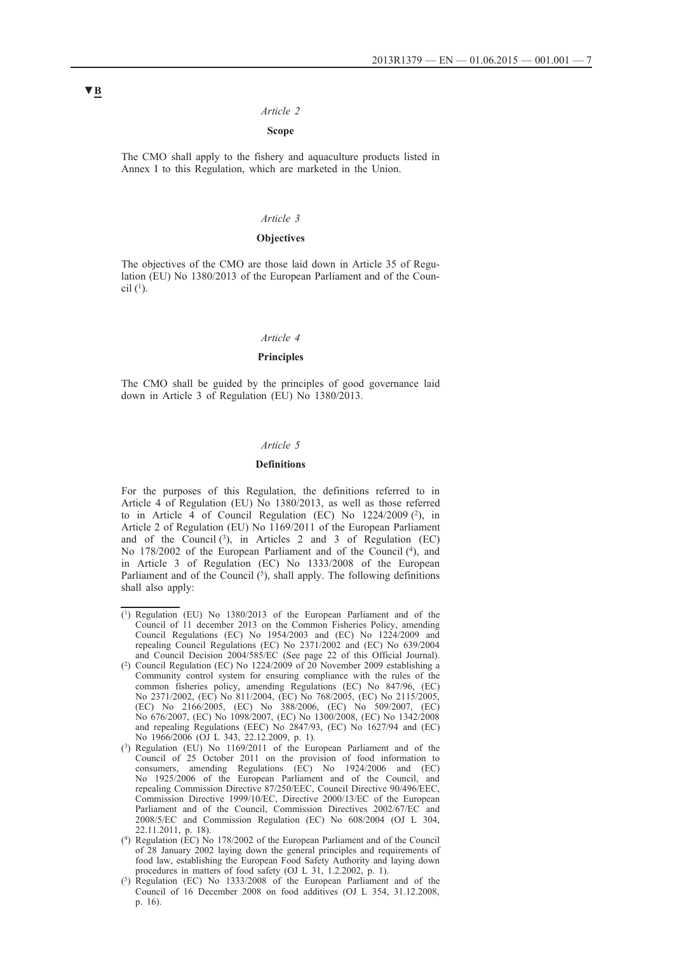## *Article 2*

# **Scope**

The CMO shall apply to the fishery and aquaculture products listed in Annex I to this Regulation, which are marketed in the Union.

#### *Article 3*

#### **Objectives**

The objectives of the CMO are those laid down in Article 35 of Regulation (EU) No 1380/2013 of the European Parliament and of the Council  $(1)$ .

#### *Article 4*

## **Principles**

The CMO shall be guided by the principles of good governance laid down in Article 3 of Regulation (EU) No 1380/2013.

#### *Article 5*

# **Definitions**

For the purposes of this Regulation, the definitions referred to in Article 4 of Regulation (EU) No 1380/2013, as well as those referred to in Article  $\overline{4}$  of Council Regulation (EC) No 1224/2009 (2), in Article 2 of Regulation (EU) No 1169/2011 of the European Parliament and of the Council  $(3)$ , in Articles 2 and 3 of Regulation (EC) No 178/2002 of the European Parliament and of the Council (4), and in Article 3 of Regulation (EC) No 1333/2008 of the European Parliament and of the Council  $(5)$ , shall apply. The following definitions shall also apply:

 $(1)$  Regulation (EU) No 1380/2013 of the European Parliament and of the Council of 11 december 2013 on the Common Fisheries Policy, amending Council Regulations (EC) No 1954/2003 and (EC) No 1224/2009 and repealing Council Regulations (EC) No 2371/2002 and (EC) No 639/2004 and Council Decision 2004/585/EC (See page 22 of this Official Journal).

<sup>(2)</sup> Council Regulation (EC) No 1224/2009 of 20 November 2009 establishing a Community control system for ensuring compliance with the rules of the common fisheries policy, amending Regulations (EC) No 847/96, (EC) No 2371/2002, (EC) No 811/2004, (EC) No 768/2005, (EC) No 2115/2005, (EC) No 2166/2005, (EC) No 388/2006, (EC) No 509/2007, (EC) No 676/2007, (EC) No 1098/2007, (EC) No 1300/2008, (EC) No 1342/2008 and repealing Regulations (EEC) No 2847/93, (EC) No 1627/94 and (EC) No 1966/2006 (OJ L 343, 22.12.2009, p. 1).

<sup>(3)</sup> Regulation (EU) No 1169/2011 of the European Parliament and of the Council of 25 October 2011 on the provision of food information to consumers, amending Regulations (EC) No 1924/2006 and (EC) No 1925/2006 of the European Parliament and of the Council, and repealing Commission Directive 87/250/EEC, Council Directive 90/496/EEC, Commission Directive 1999/10/EC, Directive 2000/13/EC of the European Parliament and of the Council, Commission Directives 2002/67/EC and 2008/5/EC and Commission Regulation (EC) No 608/2004 (OJ L 304, 22.11.2011, p. 18).

<sup>(4)</sup> Regulation (EC) No 178/2002 of the European Parliament and of the Council of 28 January 2002 laying down the general principles and requirements of food law, establishing the European Food Safety Authority and laying down procedures in matters of food safety (OJ L 31, 1.2.2002, p. 1).

<sup>(5)</sup> Regulation (EC) No 1333/2008 of the European Parliament and of the Council of 16 December 2008 on food additives (OJ L 354, 31.12.2008, p. 16).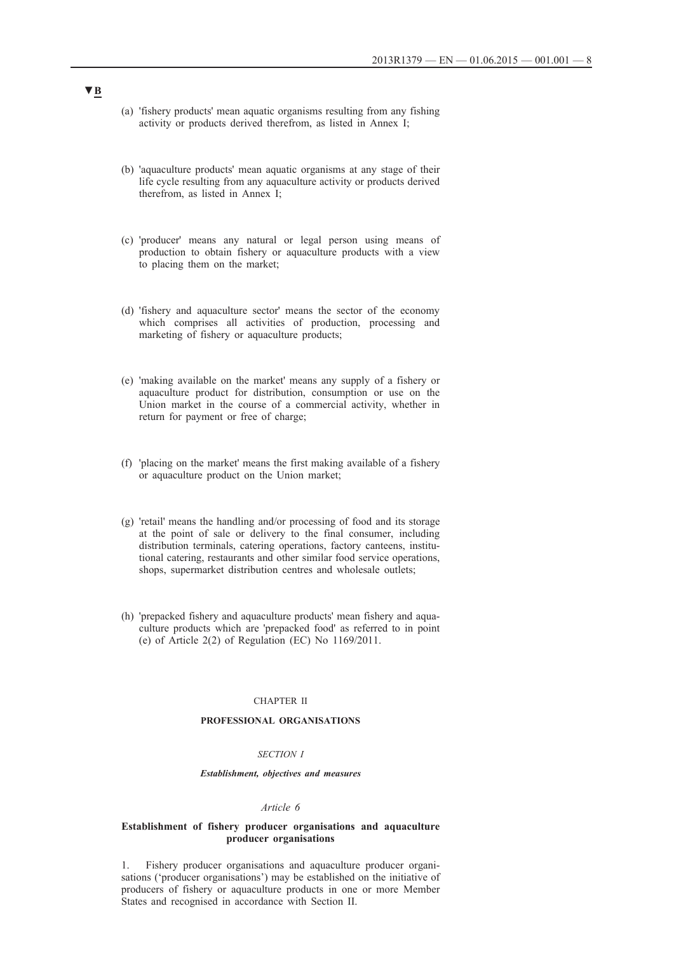- (a) 'fishery products' mean aquatic organisms resulting from any fishing activity or products derived therefrom, as listed in Annex I;
- (b) 'aquaculture products' mean aquatic organisms at any stage of their life cycle resulting from any aquaculture activity or products derived therefrom, as listed in Annex I;
- (c) 'producer' means any natural or legal person using means of production to obtain fishery or aquaculture products with a view to placing them on the market;
- (d) 'fishery and aquaculture sector' means the sector of the economy which comprises all activities of production, processing and marketing of fishery or aquaculture products;
- (e) 'making available on the market' means any supply of a fishery or aquaculture product for distribution, consumption or use on the Union market in the course of a commercial activity, whether in return for payment or free of charge;
- (f) 'placing on the market' means the first making available of a fishery or aquaculture product on the Union market;
- (g) 'retail' means the handling and/or processing of food and its storage at the point of sale or delivery to the final consumer, including distribution terminals, catering operations, factory canteens, institutional catering, restaurants and other similar food service operations, shops, supermarket distribution centres and wholesale outlets;
- (h) 'prepacked fishery and aquaculture products' mean fishery and aquaculture products which are 'prepacked food' as referred to in point (e) of Article 2(2) of Regulation (EC) No 1169/2011.

## CHAPTER II

#### **PROFESSIONAL ORGANISATIONS**

#### *SECTION I*

#### *Establishment, objectives and measures*

#### *Article 6*

#### **Establishment of fishery producer organisations and aquaculture producer organisations**

1. Fishery producer organisations and aquaculture producer organisations ('producer organisations') may be established on the initiative of producers of fishery or aquaculture products in one or more Member States and recognised in accordance with Section II.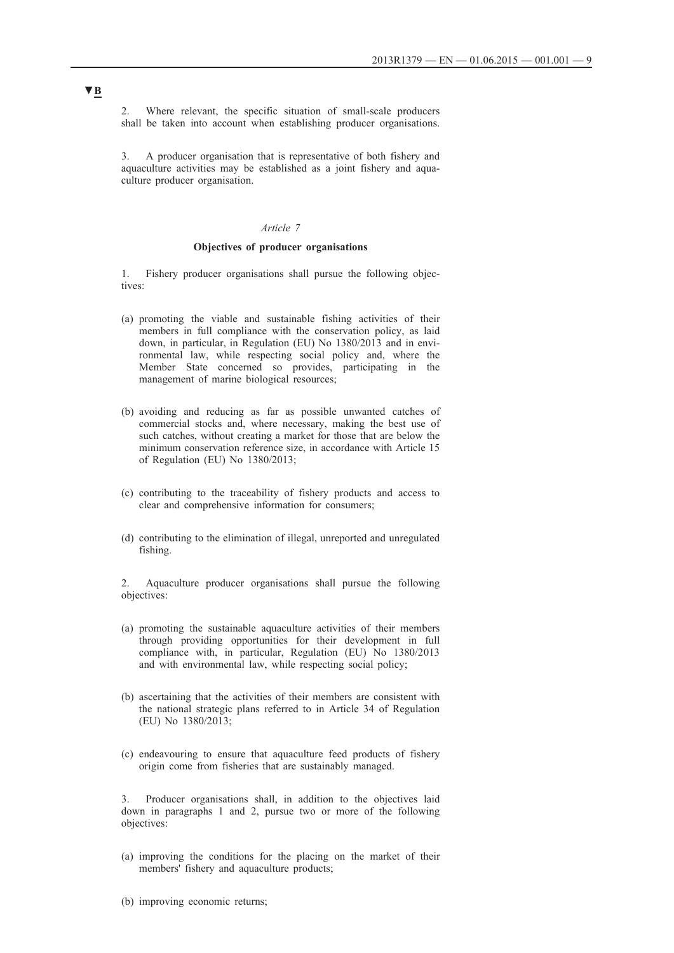2. Where relevant, the specific situation of small-scale producers shall be taken into account when establishing producer organisations.

3. A producer organisation that is representative of both fishery and aquaculture activities may be established as a joint fishery and aquaculture producer organisation.

## *Article 7*

### **Objectives of producer organisations**

1. Fishery producer organisations shall pursue the following objectives:

- (a) promoting the viable and sustainable fishing activities of their members in full compliance with the conservation policy, as laid down, in particular, in Regulation (EU) No 1380/2013 and in environmental law, while respecting social policy and, where the Member State concerned so provides, participating in the management of marine biological resources;
- (b) avoiding and reducing as far as possible unwanted catches of commercial stocks and, where necessary, making the best use of such catches, without creating a market for those that are below the minimum conservation reference size, in accordance with Article 15 of Regulation (EU) No 1380/2013;
- (c) contributing to the traceability of fishery products and access to clear and comprehensive information for consumers;
- (d) contributing to the elimination of illegal, unreported and unregulated fishing.

2. Aquaculture producer organisations shall pursue the following objectives:

- (a) promoting the sustainable aquaculture activities of their members through providing opportunities for their development in full compliance with, in particular, Regulation (EU) No 1380/2013 and with environmental law, while respecting social policy;
- (b) ascertaining that the activities of their members are consistent with the national strategic plans referred to in Article 34 of Regulation (EU) No 1380/2013;
- (c) endeavouring to ensure that aquaculture feed products of fishery origin come from fisheries that are sustainably managed.

Producer organisations shall, in addition to the objectives laid down in paragraphs 1 and 2, pursue two or more of the following objectives:

(a) improving the conditions for the placing on the market of their members' fishery and aquaculture products;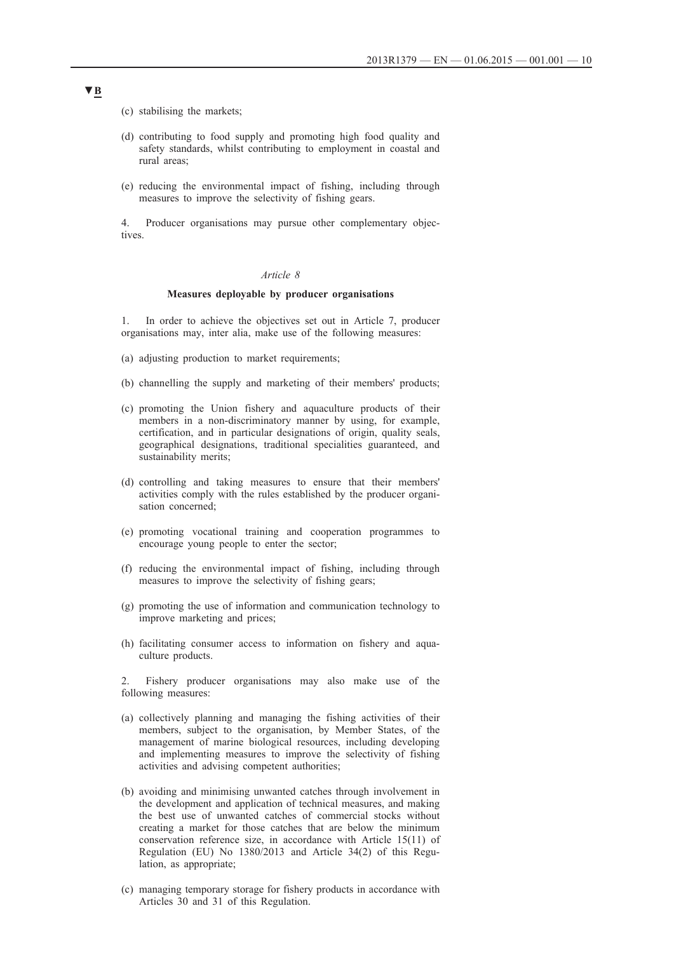- (c) stabilising the markets;
- (d) contributing to food supply and promoting high food quality and safety standards, whilst contributing to employment in coastal and rural areas;
- (e) reducing the environmental impact of fishing, including through measures to improve the selectivity of fishing gears.

4. Producer organisations may pursue other complementary objectives.

#### *Article 8*

## **Measures deployable by producer organisations**

In order to achieve the objectives set out in Article 7, producer organisations may, inter alia, make use of the following measures:

- (a) adjusting production to market requirements;
- (b) channelling the supply and marketing of their members' products;
- (c) promoting the Union fishery and aquaculture products of their members in a non-discriminatory manner by using, for example, certification, and in particular designations of origin, quality seals, geographical designations, traditional specialities guaranteed, and sustainability merits;
- (d) controlling and taking measures to ensure that their members' activities comply with the rules established by the producer organisation concerned;
- (e) promoting vocational training and cooperation programmes to encourage young people to enter the sector;
- (f) reducing the environmental impact of fishing, including through measures to improve the selectivity of fishing gears;
- (g) promoting the use of information and communication technology to improve marketing and prices;
- (h) facilitating consumer access to information on fishery and aquaculture products.

2. Fishery producer organisations may also make use of the following measures:

- (a) collectively planning and managing the fishing activities of their members, subject to the organisation, by Member States, of the management of marine biological resources, including developing and implementing measures to improve the selectivity of fishing activities and advising competent authorities;
- (b) avoiding and minimising unwanted catches through involvement in the development and application of technical measures, and making the best use of unwanted catches of commercial stocks without creating a market for those catches that are below the minimum conservation reference size, in accordance with Article 15(11) of Regulation (EU) No 1380/2013 and Article 34(2) of this Regulation, as appropriate;
- (c) managing temporary storage for fishery products in accordance with Articles 30 and 31 of this Regulation.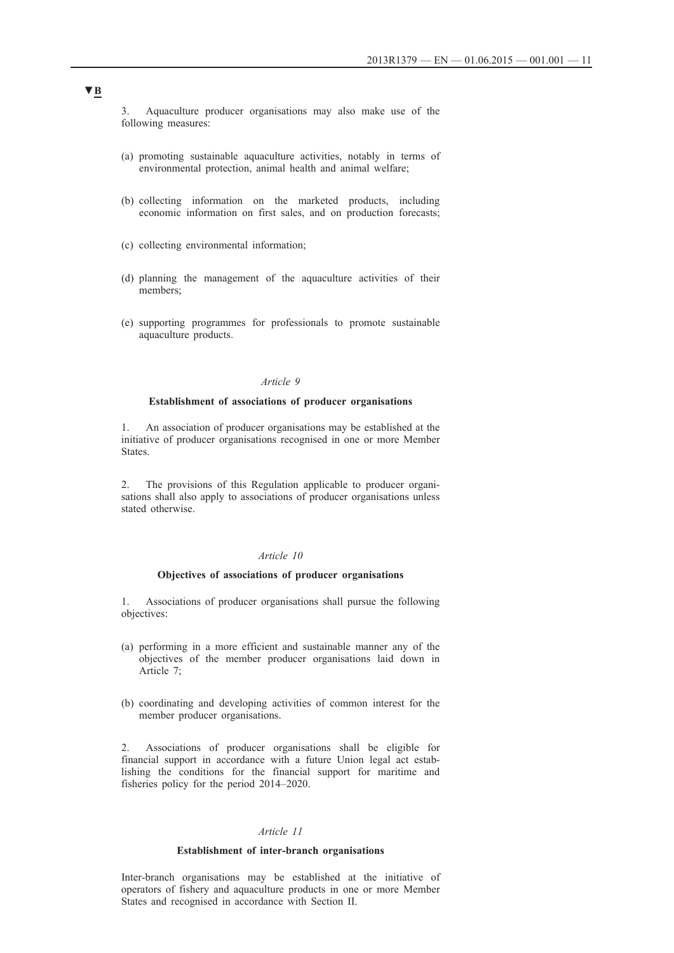3. Aquaculture producer organisations may also make use of the following measures:

- (a) promoting sustainable aquaculture activities, notably in terms of environmental protection, animal health and animal welfare;
- (b) collecting information on the marketed products, including economic information on first sales, and on production forecasts;
- (c) collecting environmental information;
- (d) planning the management of the aquaculture activities of their members;
- (e) supporting programmes for professionals to promote sustainable aquaculture products.

# *Article 9*

## **Establishment of associations of producer organisations**

1. An association of producer organisations may be established at the initiative of producer organisations recognised in one or more Member States.

2. The provisions of this Regulation applicable to producer organisations shall also apply to associations of producer organisations unless stated otherwise.

#### *Article 10*

## **Objectives of associations of producer organisations**

1. Associations of producer organisations shall pursue the following objectives:

- (a) performing in a more efficient and sustainable manner any of the objectives of the member producer organisations laid down in Article 7;
- (b) coordinating and developing activities of common interest for the member producer organisations.

2. Associations of producer organisations shall be eligible for financial support in accordance with a future Union legal act establishing the conditions for the financial support for maritime and fisheries policy for the period 2014–2020.

#### *Article 11*

# **Establishment of inter-branch organisations**

Inter-branch organisations may be established at the initiative of operators of fishery and aquaculture products in one or more Member States and recognised in accordance with Section II.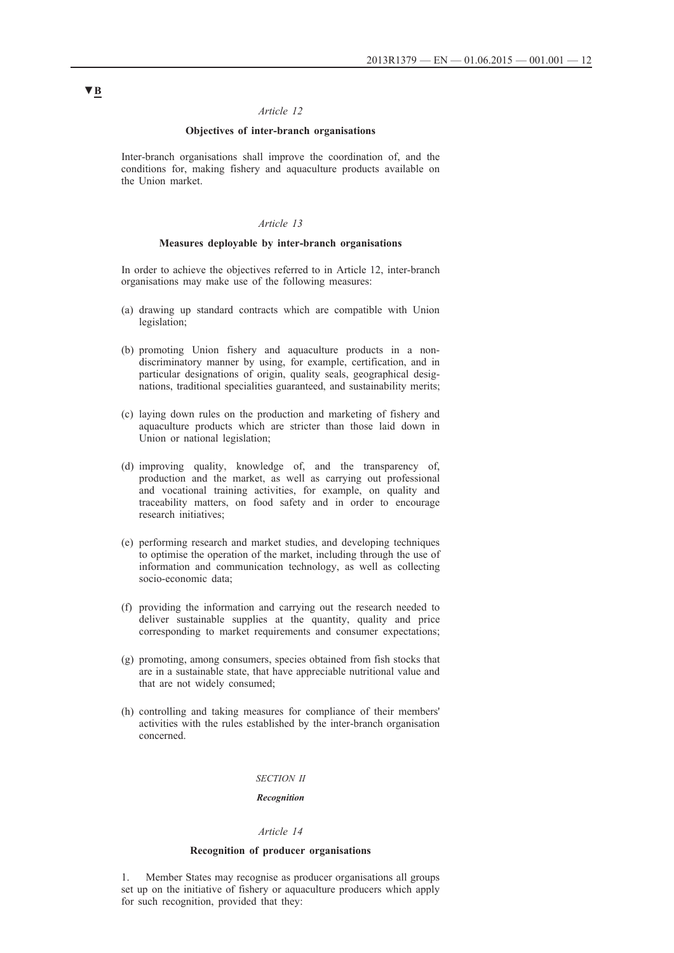# *Article 12*

## **Objectives of inter-branch organisations**

Inter-branch organisations shall improve the coordination of, and the conditions for, making fishery and aquaculture products available on the Union market.

#### *Article 13*

#### **Measures deployable by inter-branch organisations**

In order to achieve the objectives referred to in Article 12, inter-branch organisations may make use of the following measures:

- (a) drawing up standard contracts which are compatible with Union legislation;
- (b) promoting Union fishery and aquaculture products in a nondiscriminatory manner by using, for example, certification, and in particular designations of origin, quality seals, geographical designations, traditional specialities guaranteed, and sustainability merits;
- (c) laying down rules on the production and marketing of fishery and aquaculture products which are stricter than those laid down in Union or national legislation;
- (d) improving quality, knowledge of, and the transparency of, production and the market, as well as carrying out professional and vocational training activities, for example, on quality and traceability matters, on food safety and in order to encourage research initiatives;
- (e) performing research and market studies, and developing techniques to optimise the operation of the market, including through the use of information and communication technology, as well as collecting socio-economic data;
- (f) providing the information and carrying out the research needed to deliver sustainable supplies at the quantity, quality and price corresponding to market requirements and consumer expectations;
- (g) promoting, among consumers, species obtained from fish stocks that are in a sustainable state, that have appreciable nutritional value and that are not widely consumed;
- (h) controlling and taking measures for compliance of their members' activities with the rules established by the inter-branch organisation concerned.

## *SECTION II*

# *Recognition*

#### *Article 14*

#### **Recognition of producer organisations**

1. Member States may recognise as producer organisations all groups set up on the initiative of fishery or aquaculture producers which apply for such recognition, provided that they: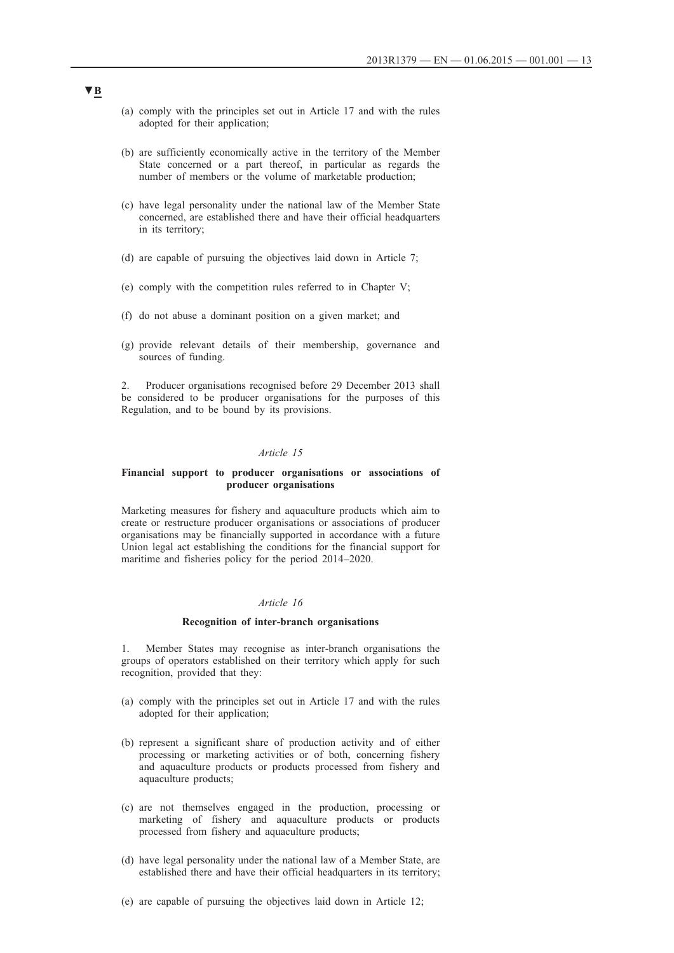- (a) comply with the principles set out in Article 17 and with the rules adopted for their application;
- (b) are sufficiently economically active in the territory of the Member State concerned or a part thereof, in particular as regards the number of members or the volume of marketable production;
- (c) have legal personality under the national law of the Member State concerned, are established there and have their official headquarters in its territory;
- (d) are capable of pursuing the objectives laid down in Article 7;
- (e) comply with the competition rules referred to in Chapter V;
- (f) do not abuse a dominant position on a given market; and
- (g) provide relevant details of their membership, governance and sources of funding.

2. Producer organisations recognised before 29 December 2013 shall be considered to be producer organisations for the purposes of this Regulation, and to be bound by its provisions.

## *Article 15*

#### **Financial support to producer organisations or associations of producer organisations**

Marketing measures for fishery and aquaculture products which aim to create or restructure producer organisations or associations of producer organisations may be financially supported in accordance with a future Union legal act establishing the conditions for the financial support for maritime and fisheries policy for the period 2014–2020.

# *Article 16*

#### **Recognition of inter-branch organisations**

1. Member States may recognise as inter-branch organisations the groups of operators established on their territory which apply for such recognition, provided that they:

- (a) comply with the principles set out in Article 17 and with the rules adopted for their application;
- (b) represent a significant share of production activity and of either processing or marketing activities or of both, concerning fishery and aquaculture products or products processed from fishery and aquaculture products;
- (c) are not themselves engaged in the production, processing or marketing of fishery and aquaculture products or products processed from fishery and aquaculture products;
- (d) have legal personality under the national law of a Member State, are established there and have their official headquarters in its territory;
- (e) are capable of pursuing the objectives laid down in Article 12;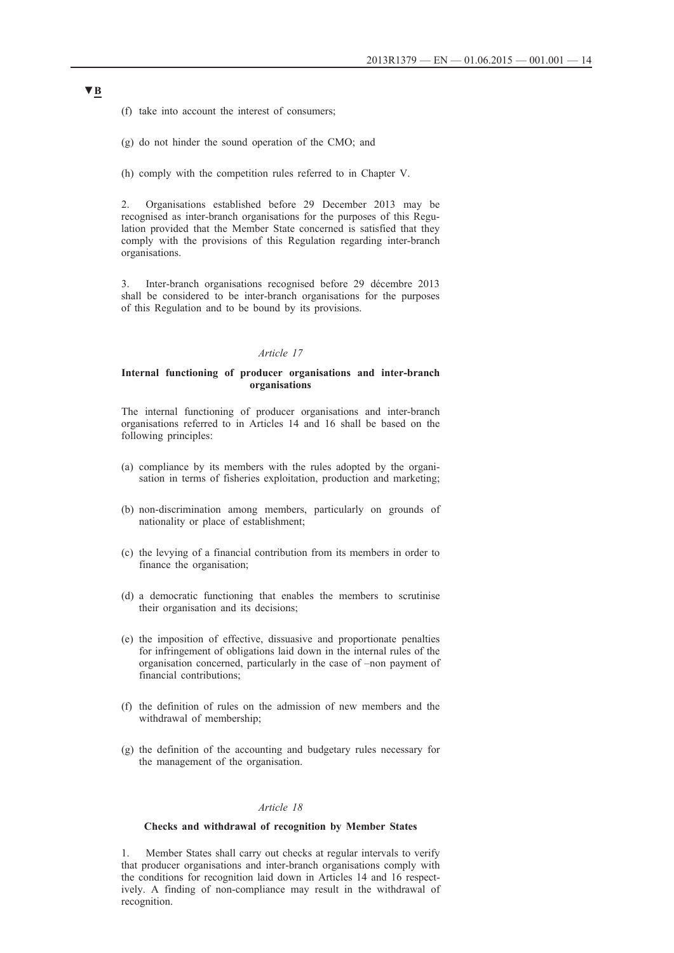(f) take into account the interest of consumers;

(g) do not hinder the sound operation of the CMO; and

(h) comply with the competition rules referred to in Chapter V.

2. Organisations established before 29 December 2013 may be recognised as inter-branch organisations for the purposes of this Regulation provided that the Member State concerned is satisfied that they comply with the provisions of this Regulation regarding inter-branch organisations.

3. Inter-branch organisations recognised before 29 décembre 2013 shall be considered to be inter-branch organisations for the purposes of this Regulation and to be bound by its provisions.

#### *Article 17*

## **Internal functioning of producer organisations and inter-branch organisations**

The internal functioning of producer organisations and inter-branch organisations referred to in Articles 14 and 16 shall be based on the following principles:

- (a) compliance by its members with the rules adopted by the organisation in terms of fisheries exploitation, production and marketing;
- (b) non-discrimination among members, particularly on grounds of nationality or place of establishment;
- (c) the levying of a financial contribution from its members in order to finance the organisation;
- (d) a democratic functioning that enables the members to scrutinise their organisation and its decisions;
- (e) the imposition of effective, dissuasive and proportionate penalties for infringement of obligations laid down in the internal rules of the organisation concerned, particularly in the case of –non payment of financial contributions;
- (f) the definition of rules on the admission of new members and the withdrawal of membership;
- (g) the definition of the accounting and budgetary rules necessary for the management of the organisation.

#### *Article 18*

#### **Checks and withdrawal of recognition by Member States**

1. Member States shall carry out checks at regular intervals to verify that producer organisations and inter-branch organisations comply with the conditions for recognition laid down in Articles 14 and 16 respectively. A finding of non-compliance may result in the withdrawal of recognition.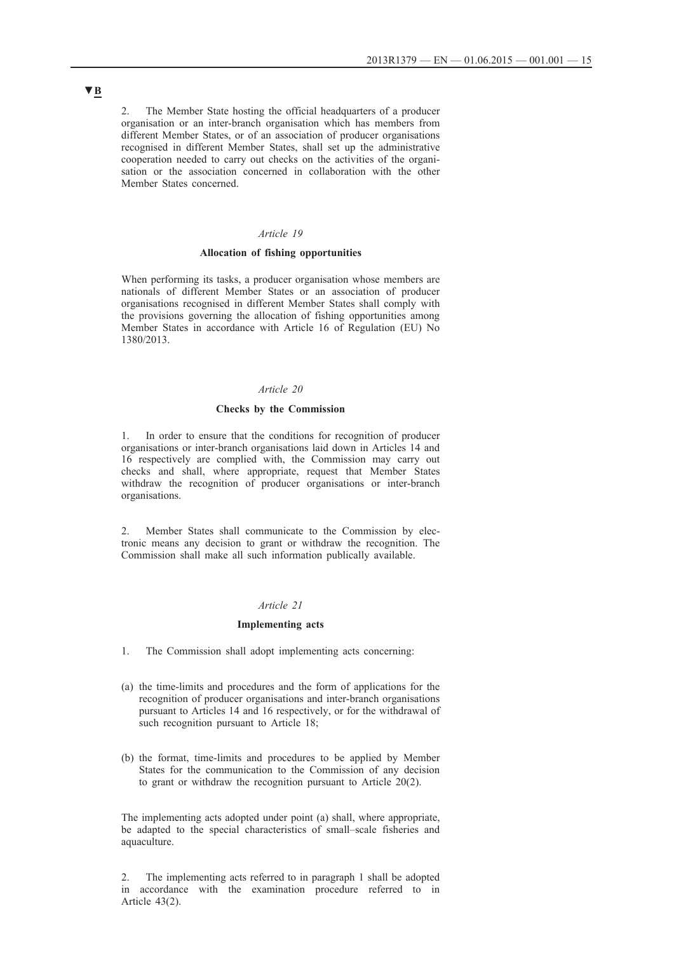2. The Member State hosting the official headquarters of a producer organisation or an inter-branch organisation which has members from different Member States, or of an association of producer organisations recognised in different Member States, shall set up the administrative cooperation needed to carry out checks on the activities of the organisation or the association concerned in collaboration with the other Member States concerned.

# *Article 19*

## **Allocation of fishing opportunities**

When performing its tasks, a producer organisation whose members are nationals of different Member States or an association of producer organisations recognised in different Member States shall comply with the provisions governing the allocation of fishing opportunities among Member States in accordance with Article 16 of Regulation (EU) No 1380/2013.

# *Article 20*

#### **Checks by the Commission**

In order to ensure that the conditions for recognition of producer organisations or inter-branch organisations laid down in Articles 14 and 16 respectively are complied with, the Commission may carry out checks and shall, where appropriate, request that Member States withdraw the recognition of producer organisations or inter-branch organisations.

2. Member States shall communicate to the Commission by electronic means any decision to grant or withdraw the recognition. The Commission shall make all such information publically available.

## *Article 21*

#### **Implementing acts**

1. The Commission shall adopt implementing acts concerning:

- (a) the time-limits and procedures and the form of applications for the recognition of producer organisations and inter-branch organisations pursuant to Articles 14 and 16 respectively, or for the withdrawal of such recognition pursuant to Article 18;
- (b) the format, time-limits and procedures to be applied by Member States for the communication to the Commission of any decision to grant or withdraw the recognition pursuant to Article 20(2).

The implementing acts adopted under point (a) shall, where appropriate, be adapted to the special characteristics of small–scale fisheries and aquaculture.

2. The implementing acts referred to in paragraph 1 shall be adopted in accordance with the examination procedure referred to in Article 43(2).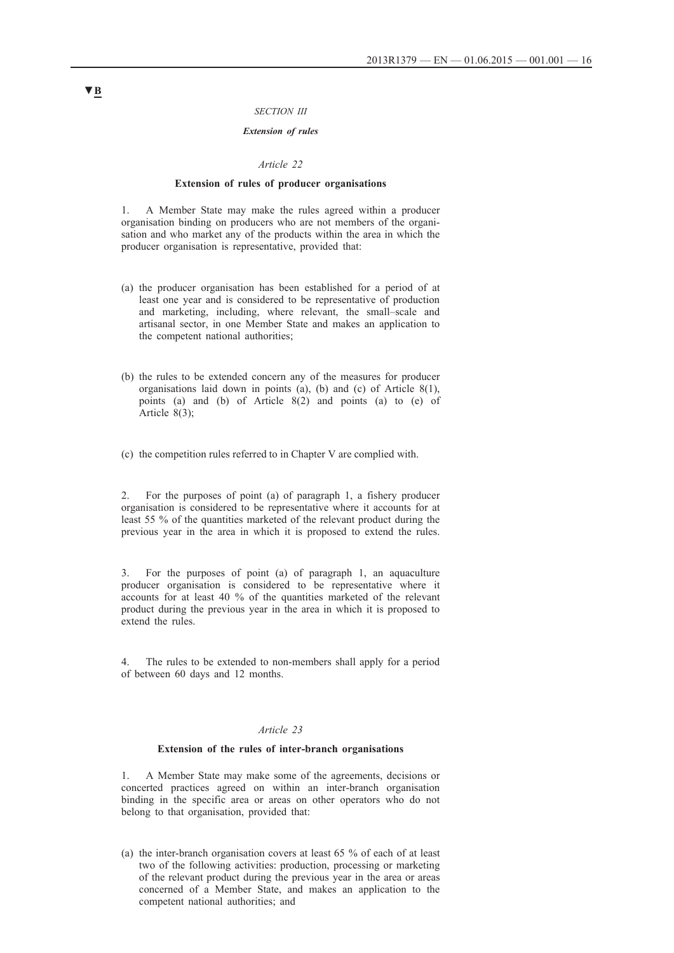#### *SECTION III*

## *Extension of rules*

#### *Article 22*

#### **Extension of rules of producer organisations**

1. A Member State may make the rules agreed within a producer organisation binding on producers who are not members of the organisation and who market any of the products within the area in which the producer organisation is representative, provided that:

- (a) the producer organisation has been established for a period of at least one year and is considered to be representative of production and marketing, including, where relevant, the small–scale and artisanal sector, in one Member State and makes an application to the competent national authorities;
- (b) the rules to be extended concern any of the measures for producer organisations laid down in points (a), (b) and (c) of Article 8(1), points (a) and (b) of Article 8(2) and points (a) to (e) of Article 8(3);
- (c) the competition rules referred to in Chapter V are complied with.

2. For the purposes of point (a) of paragraph 1, a fishery producer organisation is considered to be representative where it accounts for at least 55 % of the quantities marketed of the relevant product during the previous year in the area in which it is proposed to extend the rules.

3. For the purposes of point (a) of paragraph 1, an aquaculture producer organisation is considered to be representative where it accounts for at least 40 % of the quantities marketed of the relevant product during the previous year in the area in which it is proposed to extend the rules.

4. The rules to be extended to non-members shall apply for a period of between 60 days and 12 months.

#### *Article 23*

#### **Extension of the rules of inter-branch organisations**

1. A Member State may make some of the agreements, decisions or concerted practices agreed on within an inter-branch organisation binding in the specific area or areas on other operators who do not belong to that organisation, provided that:

(a) the inter-branch organisation covers at least 65 % of each of at least two of the following activities: production, processing or marketing of the relevant product during the previous year in the area or areas concerned of a Member State, and makes an application to the competent national authorities; and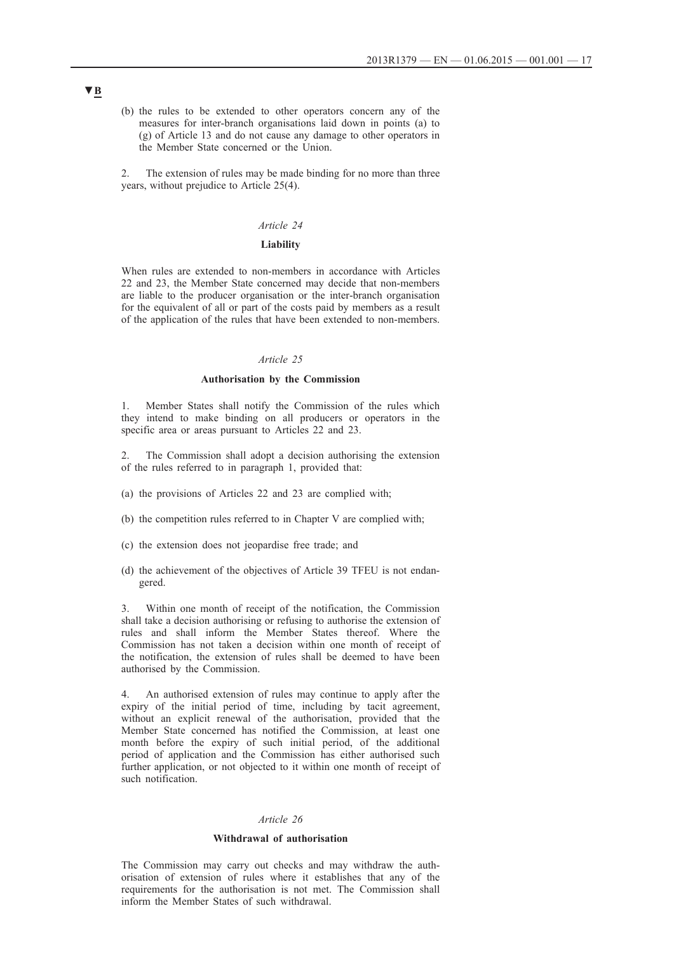(b) the rules to be extended to other operators concern any of the measures for inter-branch organisations laid down in points (a) to (g) of Article 13 and do not cause any damage to other operators in the Member State concerned or the Union.

2. The extension of rules may be made binding for no more than three years, without prejudice to Article 25(4).

#### *Article 24*

# **Liability**

When rules are extended to non-members in accordance with Articles 22 and 23, the Member State concerned may decide that non-members are liable to the producer organisation or the inter-branch organisation for the equivalent of all or part of the costs paid by members as a result of the application of the rules that have been extended to non-members.

#### *Article 25*

# **Authorisation by the Commission**

Member States shall notify the Commission of the rules which they intend to make binding on all producers or operators in the specific area or areas pursuant to Articles 22 and 23.

The Commission shall adopt a decision authorising the extension of the rules referred to in paragraph 1, provided that:

- (a) the provisions of Articles 22 and 23 are complied with;
- (b) the competition rules referred to in Chapter V are complied with;
- (c) the extension does not jeopardise free trade; and
- (d) the achievement of the objectives of Article 39 TFEU is not endangered.

3. Within one month of receipt of the notification, the Commission shall take a decision authorising or refusing to authorise the extension of rules and shall inform the Member States thereof. Where the Commission has not taken a decision within one month of receipt of the notification, the extension of rules shall be deemed to have been authorised by the Commission.

4. An authorised extension of rules may continue to apply after the expiry of the initial period of time, including by tacit agreement, without an explicit renewal of the authorisation, provided that the Member State concerned has notified the Commission, at least one month before the expiry of such initial period, of the additional period of application and the Commission has either authorised such further application, or not objected to it within one month of receipt of such notification.

#### *Article 26*

#### **Withdrawal of authorisation**

The Commission may carry out checks and may withdraw the authorisation of extension of rules where it establishes that any of the requirements for the authorisation is not met. The Commission shall inform the Member States of such withdrawal.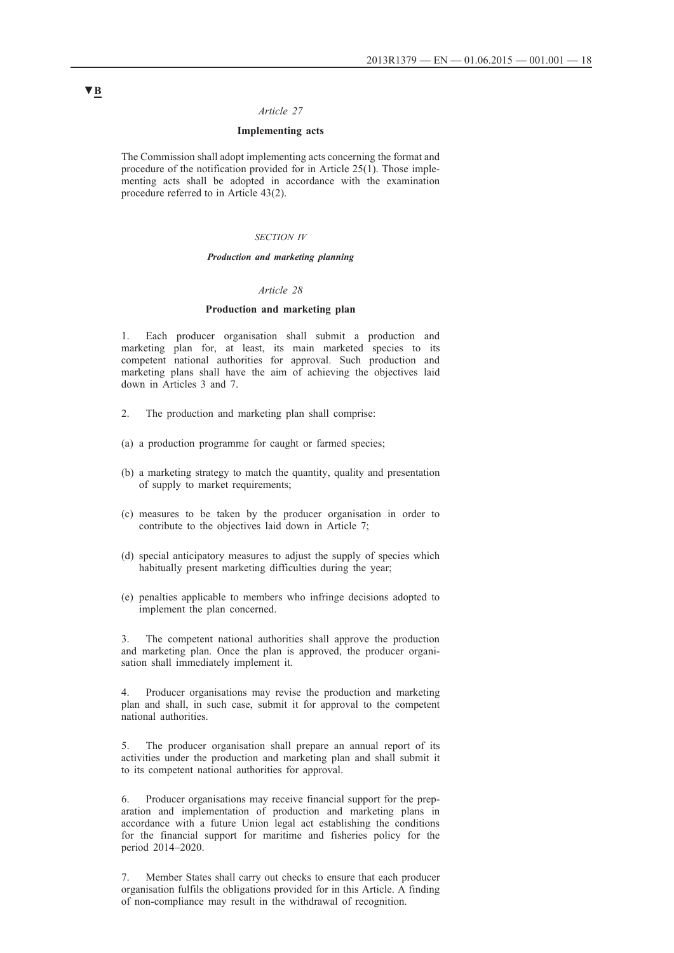## *Article 27*

## **Implementing acts**

The Commission shall adopt implementing acts concerning the format and procedure of the notification provided for in Article 25(1). Those implementing acts shall be adopted in accordance with the examination procedure referred to in Article 43(2).

#### *SECTION IV*

#### *Production and marketing planning*

## *Article 28*

## **Production and marketing plan**

1. Each producer organisation shall submit a production and marketing plan for, at least, its main marketed species to its competent national authorities for approval. Such production and marketing plans shall have the aim of achieving the objectives laid down in Articles 3 and 7.

- 2. The production and marketing plan shall comprise:
- (a) a production programme for caught or farmed species;
- (b) a marketing strategy to match the quantity, quality and presentation of supply to market requirements;
- (c) measures to be taken by the producer organisation in order to contribute to the objectives laid down in Article 7;
- (d) special anticipatory measures to adjust the supply of species which habitually present marketing difficulties during the year;
- (e) penalties applicable to members who infringe decisions adopted to implement the plan concerned.

3. The competent national authorities shall approve the production and marketing plan. Once the plan is approved, the producer organisation shall immediately implement it.

4. Producer organisations may revise the production and marketing plan and shall, in such case, submit it for approval to the competent national authorities.

5. The producer organisation shall prepare an annual report of its activities under the production and marketing plan and shall submit it to its competent national authorities for approval.

6. Producer organisations may receive financial support for the preparation and implementation of production and marketing plans in accordance with a future Union legal act establishing the conditions for the financial support for maritime and fisheries policy for the period 2014–2020.

7. Member States shall carry out checks to ensure that each producer organisation fulfils the obligations provided for in this Article. A finding of non-compliance may result in the withdrawal of recognition.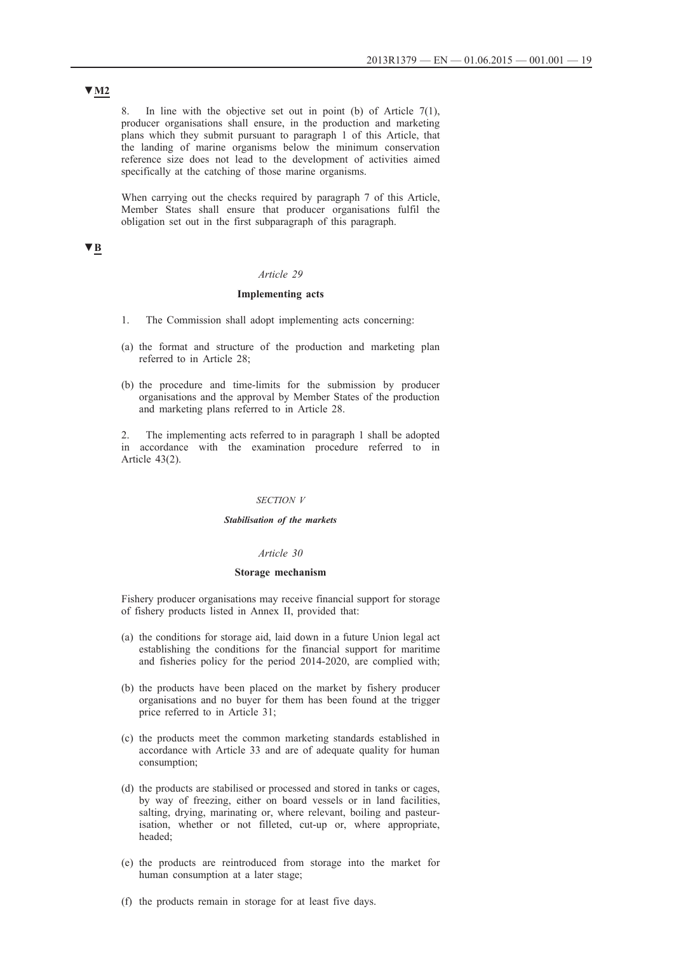8. In line with the objective set out in point (b) of Article 7(1), producer organisations shall ensure, in the production and marketing plans which they submit pursuant to paragraph 1 of this Article, that the landing of marine organisms below the minimum conservation reference size does not lead to the development of activities aimed specifically at the catching of those marine organisms.

When carrying out the checks required by paragraph 7 of this Article, Member States shall ensure that producer organisations fulfil the obligation set out in the first subparagraph of this paragraph.

# **▼B**

#### *Article 29*

## **Implementing acts**

- 1. The Commission shall adopt implementing acts concerning:
- (a) the format and structure of the production and marketing plan referred to in Article 28;
- (b) the procedure and time-limits for the submission by producer organisations and the approval by Member States of the production and marketing plans referred to in Article 28.

2. The implementing acts referred to in paragraph 1 shall be adopted in accordance with the examination procedure referred to in Article 43(2).

#### *SECTION V*

#### *Stabilisation of the markets*

#### *Article 30*

#### **Storage mechanism**

Fishery producer organisations may receive financial support for storage of fishery products listed in Annex II, provided that:

- (a) the conditions for storage aid, laid down in a future Union legal act establishing the conditions for the financial support for maritime and fisheries policy for the period 2014-2020, are complied with;
- (b) the products have been placed on the market by fishery producer organisations and no buyer for them has been found at the trigger price referred to in Article 31;
- (c) the products meet the common marketing standards established in accordance with Article 33 and are of adequate quality for human consumption;
- (d) the products are stabilised or processed and stored in tanks or cages, by way of freezing, either on board vessels or in land facilities, salting, drying, marinating or, where relevant, boiling and pasteurisation, whether or not filleted, cut-up or, where appropriate, headed;
- (e) the products are reintroduced from storage into the market for human consumption at a later stage;
- (f) the products remain in storage for at least five days.

# **▼M2**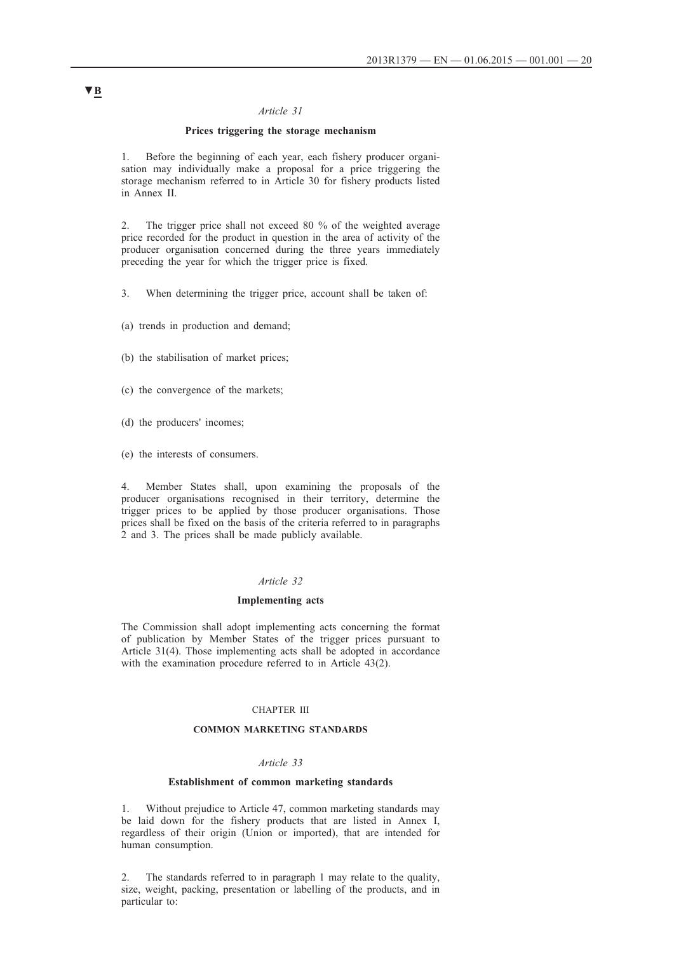#### *Article 31*

# **Prices triggering the storage mechanism**

1. Before the beginning of each year, each fishery producer organisation may individually make a proposal for a price triggering the storage mechanism referred to in Article 30 for fishery products listed in Annex II.

2. The trigger price shall not exceed 80 % of the weighted average price recorded for the product in question in the area of activity of the producer organisation concerned during the three years immediately preceding the year for which the trigger price is fixed.

3. When determining the trigger price, account shall be taken of:

- (a) trends in production and demand;
- (b) the stabilisation of market prices;
- (c) the convergence of the markets;
- (d) the producers' incomes;
- (e) the interests of consumers.

4. Member States shall, upon examining the proposals of the producer organisations recognised in their territory, determine the trigger prices to be applied by those producer organisations. Those prices shall be fixed on the basis of the criteria referred to in paragraphs 2 and 3. The prices shall be made publicly available.

#### *Article 32*

## **Implementing acts**

The Commission shall adopt implementing acts concerning the format of publication by Member States of the trigger prices pursuant to Article 31(4). Those implementing acts shall be adopted in accordance with the examination procedure referred to in Article 43(2).

## CHAPTER III

#### **COMMON MARKETING STANDARDS**

## *Article 33*

#### **Establishment of common marketing standards**

1. Without prejudice to Article 47, common marketing standards may be laid down for the fishery products that are listed in Annex I, regardless of their origin (Union or imported), that are intended for human consumption.

2. The standards referred to in paragraph 1 may relate to the quality, size, weight, packing, presentation or labelling of the products, and in particular to: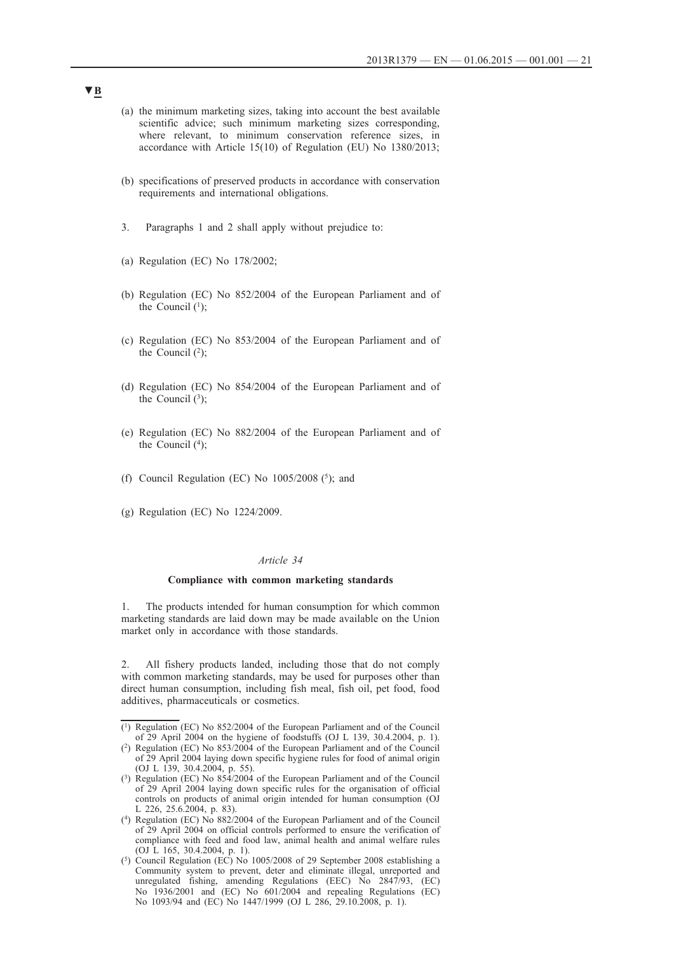- (a) the minimum marketing sizes, taking into account the best available scientific advice; such minimum marketing sizes corresponding, where relevant, to minimum conservation reference sizes, in accordance with Article 15(10) of Regulation (EU) No 1380/2013;
- (b) specifications of preserved products in accordance with conservation requirements and international obligations.
- 3. Paragraphs 1 and 2 shall apply without prejudice to:
- (a) Regulation (EC) No 178/2002;
- (b) Regulation (EC) No 852/2004 of the European Parliament and of the Council  $(1)$ ;
- (c) Regulation (EC) No 853/2004 of the European Parliament and of the Council  $(2)$ ;
- (d) Regulation (EC) No 854/2004 of the European Parliament and of the Council  $(3)$ ;
- (e) Regulation (EC) No 882/2004 of the European Parliament and of the Council  $(4)$ ;
- (f) Council Regulation (EC) No  $1005/2008$  (<sup>5</sup>); and
- (g) Regulation (EC) No 1224/2009.

#### *Article 34*

### **Compliance with common marketing standards**

1. The products intended for human consumption for which common marketing standards are laid down may be made available on the Union market only in accordance with those standards.

2. All fishery products landed, including those that do not comply with common marketing standards, may be used for purposes other than direct human consumption, including fish meal, fish oil, pet food, food additives, pharmaceuticals or cosmetics.

<sup>(1)</sup> Regulation (EC) No 852/2004 of the European Parliament and of the Council of 29 April 2004 on the hygiene of foodstuffs (OJ L 139, 30.4.2004, p. 1).

<sup>(2)</sup> Regulation (EC) No 853/2004 of the European Parliament and of the Council of 29 April 2004 laying down specific hygiene rules for food of animal origin (OJ L 139, 30.4.2004, p. 55).

<sup>(3)</sup> Regulation (EC) No 854/2004 of the European Parliament and of the Council of 29 April 2004 laying down specific rules for the organisation of official controls on products of animal origin intended for human consumption (OJ L 226, 25.6.2004, p. 83).

<sup>(4)</sup> Regulation (EC) No 882/2004 of the European Parliament and of the Council of 29 April 2004 on official controls performed to ensure the verification of compliance with feed and food law, animal health and animal welfare rules (OJ L 165, 30.4.2004, p. 1).

<sup>(5)</sup> Council Regulation (EC) No 1005/2008 of 29 September 2008 establishing a Community system to prevent, deter and eliminate illegal, unreported and unregulated fishing, amending Regulations (EEC) No 2847/93, (EC) No 1936/2001 and (EC) No 601/2004 and repealing Regulations (EC) No 1093/94 and (EC) No 1447/1999 (OJ L 286, 29.10.2008, p. 1).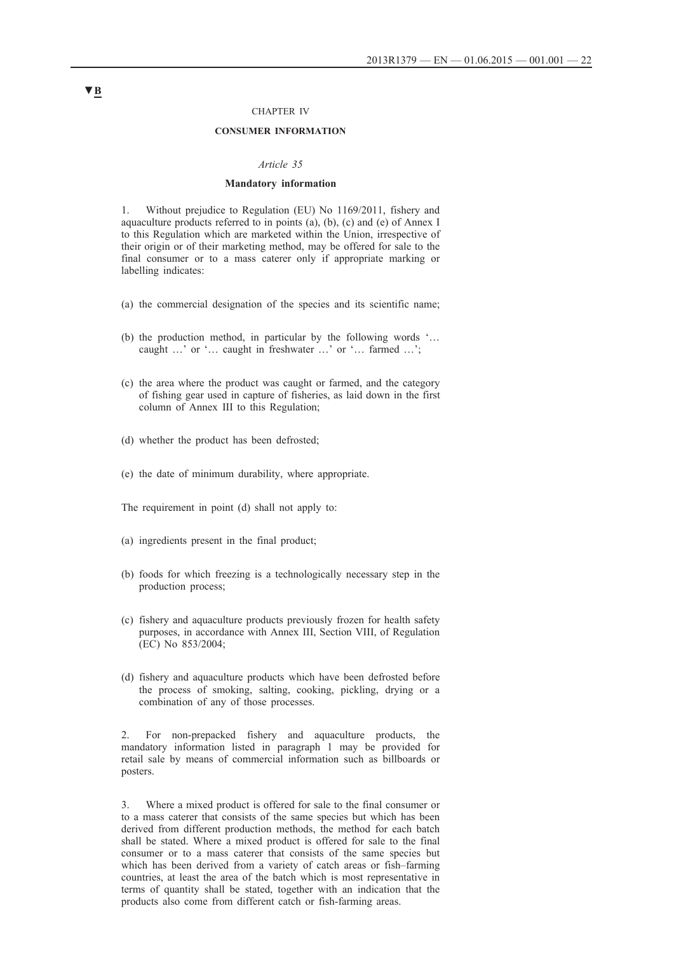### CHAPTER IV

## **CONSUMER INFORMATION**

#### *Article 35*

#### **Mandatory information**

1. Without prejudice to Regulation (EU) No 1169/2011, fishery and aquaculture products referred to in points (a), (b), (c) and (e) of Annex I to this Regulation which are marketed within the Union, irrespective of their origin or of their marketing method, may be offered for sale to the final consumer or to a mass caterer only if appropriate marking or labelling indicates:

- (a) the commercial designation of the species and its scientific name;
- (b) the production method, in particular by the following words '… caught …' or '… caught in freshwater …' or '… farmed …';
- (c) the area where the product was caught or farmed, and the category of fishing gear used in capture of fisheries, as laid down in the first column of Annex III to this Regulation;
- (d) whether the product has been defrosted;
- (e) the date of minimum durability, where appropriate.

The requirement in point (d) shall not apply to:

- (a) ingredients present in the final product;
- (b) foods for which freezing is a technologically necessary step in the production process;
- (c) fishery and aquaculture products previously frozen for health safety purposes, in accordance with Annex III, Section VIII, of Regulation (EC) No 853/2004;
- (d) fishery and aquaculture products which have been defrosted before the process of smoking, salting, cooking, pickling, drying or a combination of any of those processes.

2. For non-prepacked fishery and aquaculture products, the mandatory information listed in paragraph 1 may be provided for retail sale by means of commercial information such as billboards or posters.

3. Where a mixed product is offered for sale to the final consumer or to a mass caterer that consists of the same species but which has been derived from different production methods, the method for each batch shall be stated. Where a mixed product is offered for sale to the final consumer or to a mass caterer that consists of the same species but which has been derived from a variety of catch areas or fish–farming countries, at least the area of the batch which is most representative in terms of quantity shall be stated, together with an indication that the products also come from different catch or fish-farming areas.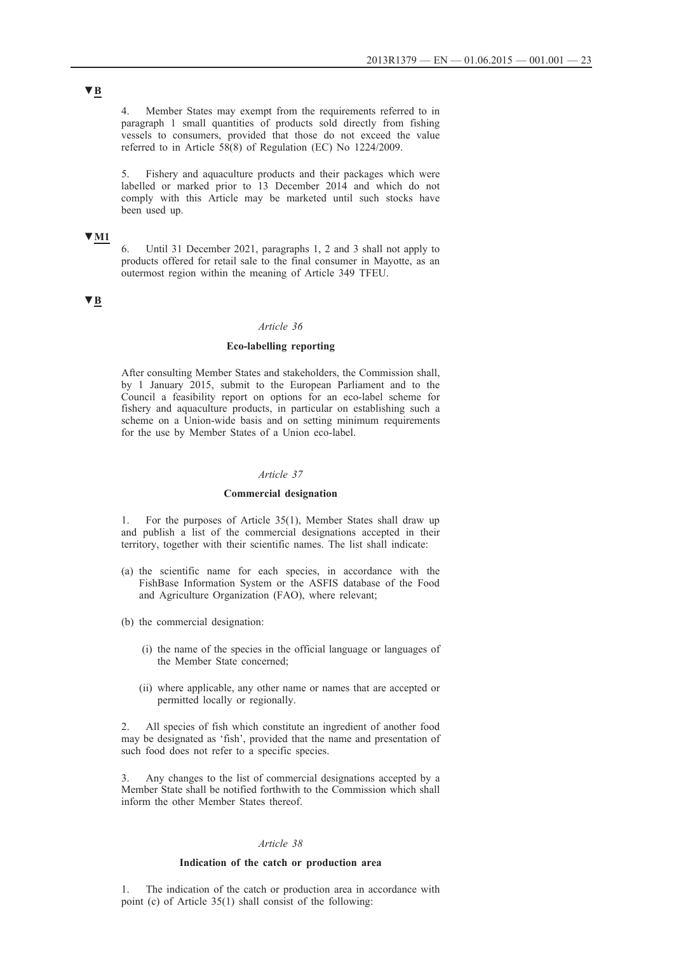4. Member States may exempt from the requirements referred to in paragraph 1 small quantities of products sold directly from fishing vessels to consumers, provided that those do not exceed the value referred to in Article 58(8) of Regulation (EC) No 1224/2009.

5. Fishery and aquaculture products and their packages which were labelled or marked prior to 13 December 2014 and which do not comply with this Article may be marketed until such stocks have been used up.

# **▼M1**

6. Until 31 December 2021, paragraphs 1, 2 and 3 shall not apply to products offered for retail sale to the final consumer in Mayotte, as an outermost region within the meaning of Article 349 TFEU.

# **▼B**

#### *Article 36*

# **Eco-labelling reporting**

After consulting Member States and stakeholders, the Commission shall, by 1 January 2015, submit to the European Parliament and to the Council a feasibility report on options for an eco-label scheme for fishery and aquaculture products, in particular on establishing such a scheme on a Union-wide basis and on setting minimum requirements for the use by Member States of a Union eco-label.

#### *Article 37*

#### **Commercial designation**

1. For the purposes of Article 35(1), Member States shall draw up and publish a list of the commercial designations accepted in their territory, together with their scientific names. The list shall indicate:

- (a) the scientific name for each species, in accordance with the FishBase Information System or the ASFIS database of the Food and Agriculture Organization (FAO), where relevant;
- (b) the commercial designation:
	- (i) the name of the species in the official language or languages of the Member State concerned;
	- (ii) where applicable, any other name or names that are accepted or permitted locally or regionally.

2. All species of fish which constitute an ingredient of another food may be designated as 'fish', provided that the name and presentation of such food does not refer to a specific species.

Any changes to the list of commercial designations accepted by a Member State shall be notified forthwith to the Commission which shall inform the other Member States thereof.

## *Article 38*

#### **Indication of the catch or production area**

1. The indication of the catch or production area in accordance with point (c) of Article 35(1) shall consist of the following: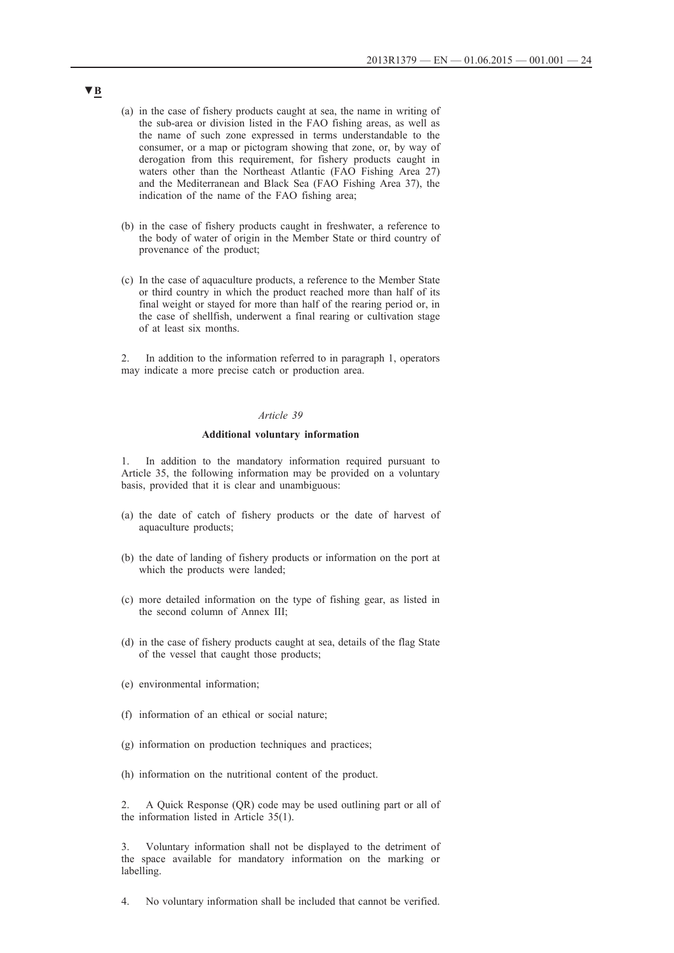- (a) in the case of fishery products caught at sea, the name in writing of the sub-area or division listed in the FAO fishing areas, as well as the name of such zone expressed in terms understandable to the consumer, or a map or pictogram showing that zone, or, by way of derogation from this requirement, for fishery products caught in waters other than the Northeast Atlantic (FAO Fishing Area 27) and the Mediterranean and Black Sea (FAO Fishing Area 37), the indication of the name of the FAO fishing area;
- (b) in the case of fishery products caught in freshwater, a reference to the body of water of origin in the Member State or third country of provenance of the product;
- (c) In the case of aquaculture products, a reference to the Member State or third country in which the product reached more than half of its final weight or stayed for more than half of the rearing period or, in the case of shellfish, underwent a final rearing or cultivation stage of at least six months.

2. In addition to the information referred to in paragraph 1, operators may indicate a more precise catch or production area.

#### *Article 39*

#### **Additional voluntary information**

1. In addition to the mandatory information required pursuant to Article 35, the following information may be provided on a voluntary basis, provided that it is clear and unambiguous:

- (a) the date of catch of fishery products or the date of harvest of aquaculture products;
- (b) the date of landing of fishery products or information on the port at which the products were landed;
- (c) more detailed information on the type of fishing gear, as listed in the second column of Annex III;
- (d) in the case of fishery products caught at sea, details of the flag State of the vessel that caught those products;
- (e) environmental information;
- (f) information of an ethical or social nature;
- (g) information on production techniques and practices;
- (h) information on the nutritional content of the product.

2. A Quick Response (QR) code may be used outlining part or all of the information listed in Article 35(1).

3. Voluntary information shall not be displayed to the detriment of the space available for mandatory information on the marking or labelling.

4. No voluntary information shall be included that cannot be verified.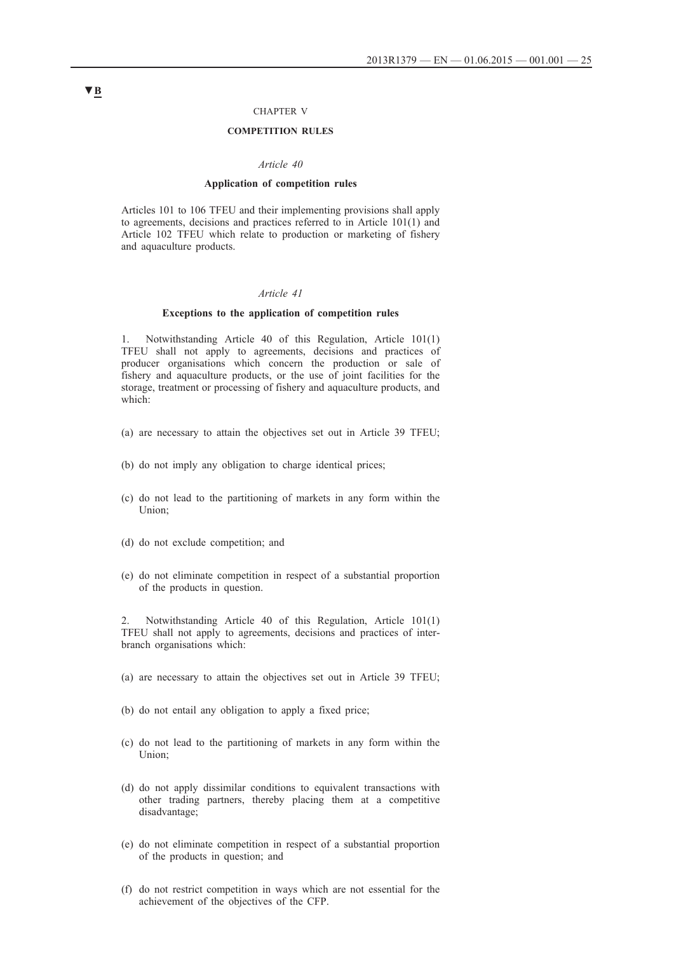#### CHAPTER V

# **COMPETITION RULES**

#### *Article 40*

#### **Application of competition rules**

Articles 101 to 106 TFEU and their implementing provisions shall apply to agreements, decisions and practices referred to in Article 101(1) and Article 102 TFEU which relate to production or marketing of fishery and aquaculture products.

## *Article 41*

#### **Exceptions to the application of competition rules**

1. Notwithstanding Article 40 of this Regulation, Article 101(1) TFEU shall not apply to agreements, decisions and practices of producer organisations which concern the production or sale of fishery and aquaculture products, or the use of joint facilities for the storage, treatment or processing of fishery and aquaculture products, and which:

- (a) are necessary to attain the objectives set out in Article 39 TFEU;
- (b) do not imply any obligation to charge identical prices;
- (c) do not lead to the partitioning of markets in any form within the Union;
- (d) do not exclude competition; and
- (e) do not eliminate competition in respect of a substantial proportion of the products in question.

2. Notwithstanding Article 40 of this Regulation, Article 101(1) TFEU shall not apply to agreements, decisions and practices of interbranch organisations which:

- (a) are necessary to attain the objectives set out in Article 39 TFEU;
- (b) do not entail any obligation to apply a fixed price;
- (c) do not lead to the partitioning of markets in any form within the Union;
- (d) do not apply dissimilar conditions to equivalent transactions with other trading partners, thereby placing them at a competitive disadvantage;
- (e) do not eliminate competition in respect of a substantial proportion of the products in question; and
- (f) do not restrict competition in ways which are not essential for the achievement of the objectives of the CFP.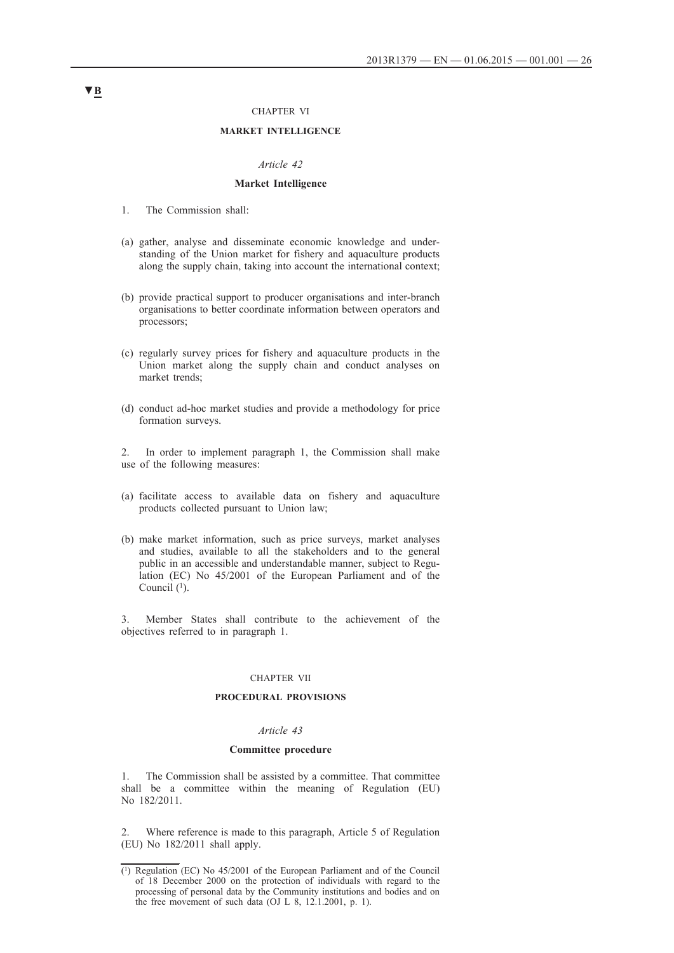#### CHAPTER VI

## **MARKET INTELLIGENCE**

#### *Article 42*

## **Market Intelligence**

- 1. The Commission shall:
- (a) gather, analyse and disseminate economic knowledge and understanding of the Union market for fishery and aquaculture products along the supply chain, taking into account the international context;
- (b) provide practical support to producer organisations and inter-branch organisations to better coordinate information between operators and processors;
- (c) regularly survey prices for fishery and aquaculture products in the Union market along the supply chain and conduct analyses on market trends;
- (d) conduct ad-hoc market studies and provide a methodology for price formation surveys.
- 2. In order to implement paragraph 1, the Commission shall make use of the following measures:
- (a) facilitate access to available data on fishery and aquaculture products collected pursuant to Union law;
- (b) make market information, such as price surveys, market analyses and studies, available to all the stakeholders and to the general public in an accessible and understandable manner, subject to Regulation (EC) No 45/2001 of the European Parliament and of the Council  $(1)$ .

3. Member States shall contribute to the achievement of the objectives referred to in paragraph 1.

## CHAPTER VII

#### **PROCEDURAL PROVISIONS**

#### *Article 43*

#### **Committee procedure**

1. The Commission shall be assisted by a committee. That committee shall be a committee within the meaning of Regulation (EU) No 182/2011.

2. Where reference is made to this paragraph, Article 5 of Regulation (EU) No 182/2011 shall apply.

 $(1)$  Regulation (EC) No 45/2001 of the European Parliament and of the Council of 18 December 2000 on the protection of individuals with regard to the processing of personal data by the Community institutions and bodies and on the free movement of such data (OJ L 8, 12.1.2001, p. 1).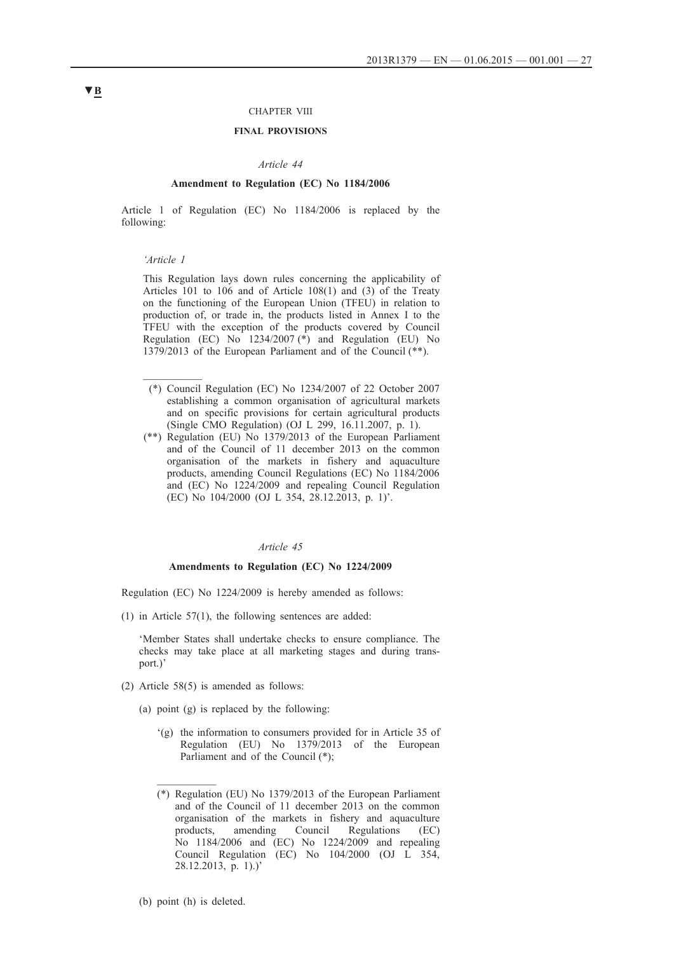## CHAPTER VIII

# **FINAL PROVISIONS**

#### *Article 44*

#### **Amendment to Regulation (EC) No 1184/2006**

Article 1 of Regulation (EC) No 1184/2006 is replaced by the following:

#### *'Article 1*

 $\mathcal{L}_\text{max}$ 

This Regulation lays down rules concerning the applicability of Articles 101 to 106 and of Article 108(1) and (3) of the Treaty on the functioning of the European Union (TFEU) in relation to production of, or trade in, the products listed in Annex I to the TFEU with the exception of the products covered by Council Regulation (EC) No  $1234/2007$  (\*) and Regulation (EU) No 1379/2013 of the European Parliament and of the Council (\*\*).

- (\*) Council Regulation (EC) No 1234/2007 of 22 October 2007 establishing a common organisation of agricultural markets and on specific provisions for certain agricultural products (Single CMO Regulation) (OJ L 299, 16.11.2007, p. 1).
- (\*\*) Regulation (EU) No 1379/2013 of the European Parliament and of the Council of 11 december 2013 on the common organisation of the markets in fishery and aquaculture products, amending Council Regulations (EC) No 1184/2006 and (EC) No 1224/2009 and repealing Council Regulation (EC) No 104/2000 (OJ L 354, 28.12.2013, p. 1)'.

#### *Article 45*

#### **Amendments to Regulation (EC) No 1224/2009**

Regulation (EC) No 1224/2009 is hereby amended as follows:

(1) in Article 57(1), the following sentences are added:

'Member States shall undertake checks to ensure compliance. The checks may take place at all marketing stages and during transport.)'

- (2) Article 58(5) is amended as follows:
	- (a) point (g) is replaced by the following:
		- '(g) the information to consumers provided for in Article 35 of Regulation (EU) No 1379/2013 of the European Parliament and of the Council (\*);
		- (\*) Regulation (EU) No 1379/2013 of the European Parliament and of the Council of 11 december 2013 on the common organisation of the markets in fishery and aquaculture products, amending Council Regulations (EC) No 1184/2006 and (EC) No 1224/2009 and repealing Council Regulation (EC) No 104/2000 (OJ L 354, 28.12.2013, p. 1).)'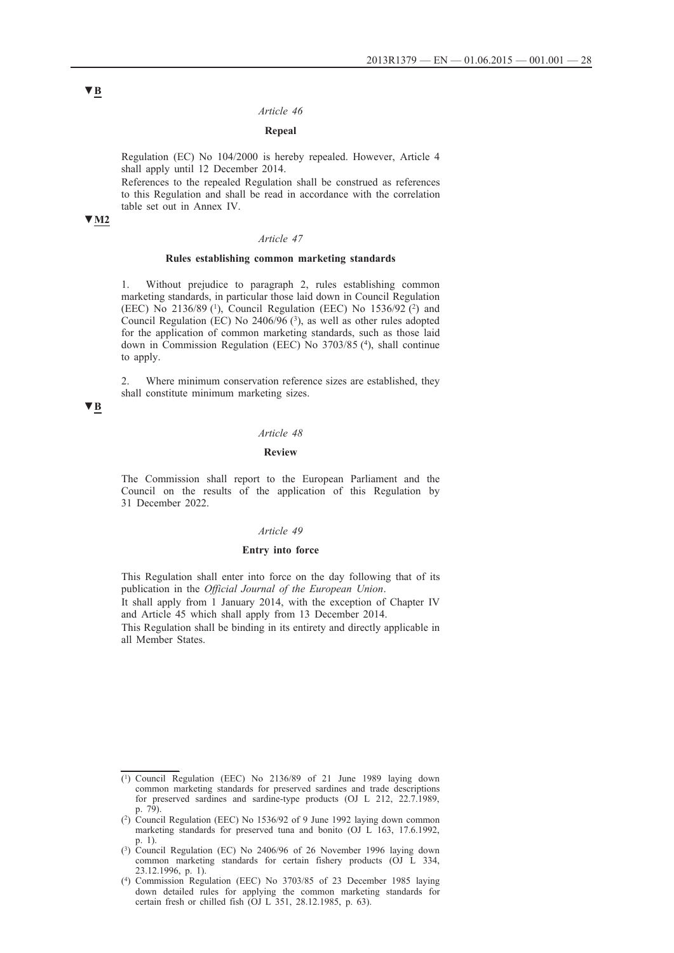#### *Article 46*

## **Repeal**

Regulation (EC) No 104/2000 is hereby repealed. However, Article 4 shall apply until 12 December 2014.

References to the repealed Regulation shall be construed as references to this Regulation and shall be read in accordance with the correlation table set out in Annex IV.

# **▼M2**

#### *Article 47*

## **Rules establishing common marketing standards**

1. Without prejudice to paragraph 2, rules establishing common marketing standards, in particular those laid down in Council Regulation (EEC) No 2136/89 (1), Council Regulation (EEC) No 1536/92 (2) and Council Regulation (EC) No  $2406/96$  (3), as well as other rules adopted for the application of common marketing standards, such as those laid down in Commission Regulation (EEC) No 3703/85 (4), shall continue to apply.

2. Where minimum conservation reference sizes are established, they shall constitute minimum marketing sizes.

# **▼B**

#### *Article 48*

# **Review**

The Commission shall report to the European Parliament and the Council on the results of the application of this Regulation by 31 December 2022.

## *Article 49*

# **Entry into force**

This Regulation shall enter into force on the day following that of its publication in the *Official Journal of the European Union*.

It shall apply from 1 January 2014, with the exception of Chapter IV and Article 45 which shall apply from 13 December 2014.

This Regulation shall be binding in its entirety and directly applicable in all Member States.

<sup>(1)</sup> Council Regulation (EEC) No 2136/89 of 21 June 1989 laying down common marketing standards for preserved sardines and trade descriptions for preserved sardines and sardine-type products (OJ L 212, 22.7.1989, p. 79).

<sup>(2)</sup> Council Regulation (EEC) No 1536/92 of 9 June 1992 laying down common marketing standards for preserved tuna and bonito (OJ L 163, 17.6.1992, p. 1).

<sup>(3)</sup> Council Regulation (EC) No 2406/96 of 26 November 1996 laying down common marketing standards for certain fishery products (OJ L 334, 23.12.1996, p. 1).

<sup>(4)</sup> Commission Regulation (EEC) No 3703/85 of 23 December 1985 laying down detailed rules for applying the common marketing standards for certain fresh or chilled fish (OJ L 351, 28.12.1985, p. 63).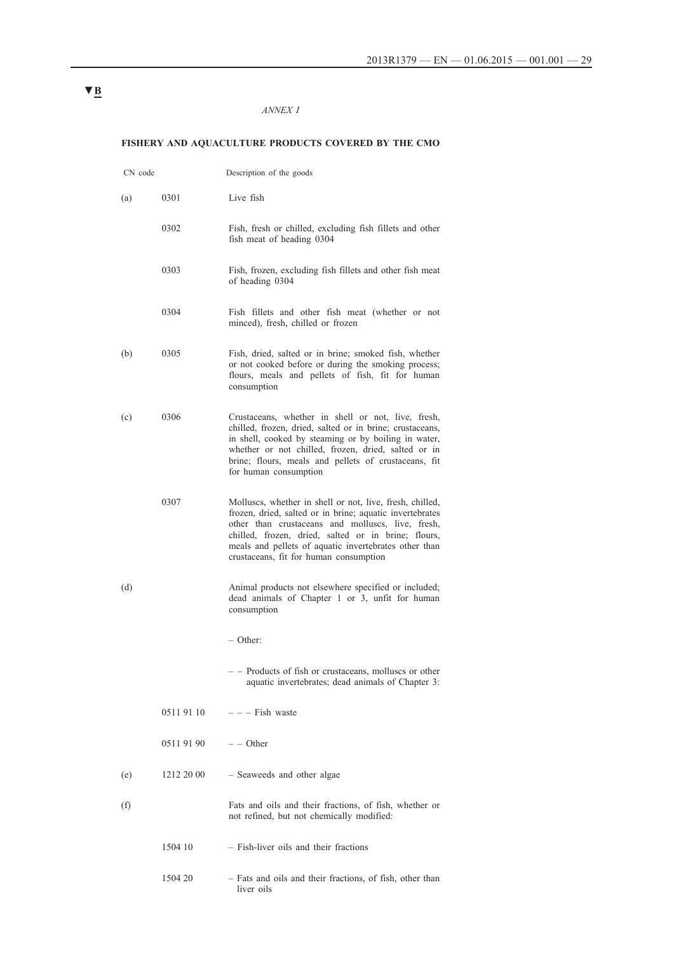# *ANNEX I*

# **FISHERY AND AQUACULTURE PRODUCTS COVERED BY THE CMO**

| CN code |            | Description of the goods                                                                                                                                                                                                                                                                                                            |
|---------|------------|-------------------------------------------------------------------------------------------------------------------------------------------------------------------------------------------------------------------------------------------------------------------------------------------------------------------------------------|
| (a)     | 0301       | Live fish                                                                                                                                                                                                                                                                                                                           |
|         | 0302       | Fish, fresh or chilled, excluding fish fillets and other<br>fish meat of heading 0304                                                                                                                                                                                                                                               |
|         | 0303       | Fish, frozen, excluding fish fillets and other fish meat<br>of heading 0304                                                                                                                                                                                                                                                         |
|         | 0304       | Fish fillets and other fish meat (whether or not<br>minced), fresh, chilled or frozen                                                                                                                                                                                                                                               |
| (b)     | 0305       | Fish, dried, salted or in brine; smoked fish, whether<br>or not cooked before or during the smoking process;<br>flours, meals and pellets of fish, fit for human<br>consumption                                                                                                                                                     |
| (c)     | 0306       | Crustaceans, whether in shell or not, live, fresh,<br>chilled, frozen, dried, salted or in brine; crustaceans,<br>in shell, cooked by steaming or by boiling in water,<br>whether or not chilled, frozen, dried, salted or in<br>brine; flours, meals and pellets of crustaceans, fit<br>for human consumption                      |
|         | 0307       | Molluscs, whether in shell or not, live, fresh, chilled,<br>frozen, dried, salted or in brine; aquatic invertebrates<br>other than crustaceans and molluscs, live, fresh,<br>chilled, frozen, dried, salted or in brine; flours,<br>meals and pellets of aquatic invertebrates other than<br>crustaceans, fit for human consumption |
| (d)     |            | Animal products not elsewhere specified or included;<br>dead animals of Chapter 1 or 3, unfit for human<br>consumption                                                                                                                                                                                                              |
|         |            | - Other:                                                                                                                                                                                                                                                                                                                            |
|         |            | - - Products of fish or crustaceans, molluscs or other<br>aquatic invertebrates; dead animals of Chapter 3:                                                                                                                                                                                                                         |
|         | 0511 91 10 | $-$ - Fish waste                                                                                                                                                                                                                                                                                                                    |
|         | 05119190   | $-$ - Other                                                                                                                                                                                                                                                                                                                         |
| (e)     | 1212 20 00 | - Seaweeds and other algae                                                                                                                                                                                                                                                                                                          |
| (f)     |            | Fats and oils and their fractions, of fish, whether or<br>not refined, but not chemically modified:                                                                                                                                                                                                                                 |
|         | 1504 10    | - Fish-liver oils and their fractions                                                                                                                                                                                                                                                                                               |
|         | 1504 20    | - Fats and oils and their fractions, of fish, other than<br>liver oils                                                                                                                                                                                                                                                              |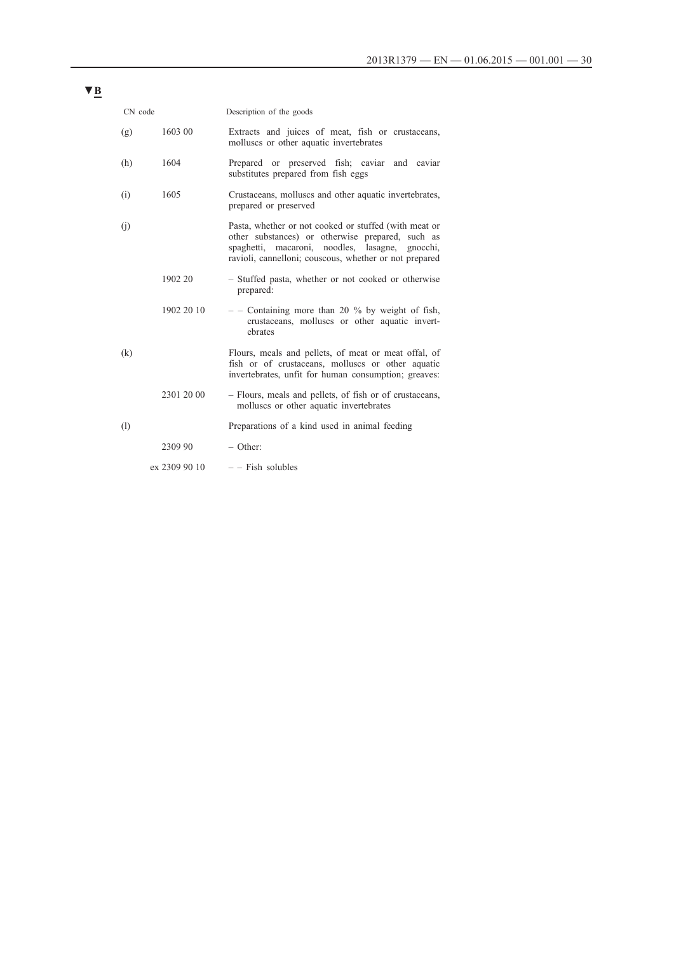| CN code |               | Description of the goods                                                                                                                                                                                               |
|---------|---------------|------------------------------------------------------------------------------------------------------------------------------------------------------------------------------------------------------------------------|
| (g)     | 1603 00       | Extracts and juices of meat, fish or crustaceans,<br>molluscs or other aquatic invertebrates                                                                                                                           |
| (h)     | 1604          | Prepared or preserved fish; caviar and caviar<br>substitutes prepared from fish eggs                                                                                                                                   |
| (i)     | 1605          | Crustaceans, molluscs and other aquatic invertebrates,<br>prepared or preserved                                                                                                                                        |
| (i)     |               | Pasta, whether or not cooked or stuffed (with meat or<br>other substances) or otherwise prepared, such as<br>spaghetti, macaroni, noodles, lasagne, gnocchi,<br>ravioli, cannelloni; couscous, whether or not prepared |
|         | 1902 20       | - Stuffed pasta, whether or not cooked or otherwise<br>prepared:                                                                                                                                                       |
|         | 1902 20 10    | $-$ - Containing more than 20 % by weight of fish,<br>crustaceans, molluscs or other aquatic invert-<br>ebrates                                                                                                        |
| (k)     |               | Flours, meals and pellets, of meat or meat offal, of<br>fish or of crustaceans, molluscs or other aquatic<br>invertebrates, unfit for human consumption; greaves:                                                      |
|         | 2301 20 00    | - Flours, meals and pellets, of fish or of crustaceans,<br>molluscs or other aquatic invertebrates                                                                                                                     |
| (1)     |               | Preparations of a kind used in animal feeding                                                                                                                                                                          |
|         | 2309 90       | $-$ Other:                                                                                                                                                                                                             |
|         | ex 2309 90 10 | $-$ - Fish solubles                                                                                                                                                                                                    |
|         |               |                                                                                                                                                                                                                        |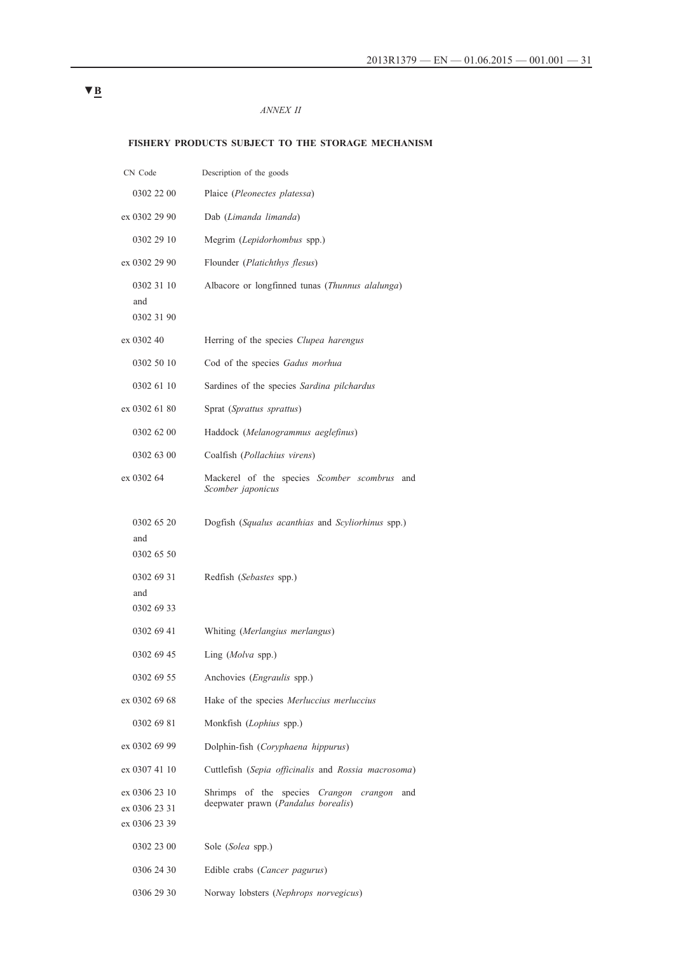# *ANNEX II*

# **FISHERY PRODUCTS SUBJECT TO THE STORAGE MECHANISM**

| CN Code                        | Description of the goods                                             |
|--------------------------------|----------------------------------------------------------------------|
| 0302 22 00                     | Plaice (Pleonectes platessa)                                         |
| ex 0302 29 90                  | Dab (Limanda limanda)                                                |
| 0302 29 10                     | Megrim (Lepidorhombus spp.)                                          |
| ex 0302 29 90                  | Flounder ( <i>Platichthys flesus</i> )                               |
| 0302 31 10<br>and              | Albacore or longfinned tunas (Thunnus alalunga)                      |
| 0302 31 90<br>ex 0302 40       | Herring of the species Clupea harengus                               |
| 0302 50 10                     | Cod of the species Gadus morhua                                      |
| 0302 61 10                     | Sardines of the species Sardina pilchardus                           |
| ex 0302 61 80                  | Sprat (Sprattus sprattus)                                            |
|                                |                                                                      |
| 0302 62 00                     | Haddock (Melanogrammus aeglefinus)                                   |
| 0302 63 00                     | Coalfish (Pollachius virens)                                         |
| ex 0302 64                     | Mackerel of the species Scomber scombrus<br>and<br>Scomber japonicus |
| 0302 65 20                     | Dogfish (Squalus acanthias and Scyliorhinus spp.)                    |
| and<br>0302 65 50              |                                                                      |
| 0302 69 31                     | Redfish (Sebastes spp.)                                              |
| and                            |                                                                      |
| 0302 69 33                     |                                                                      |
| 0302 69 41                     | Whiting (Merlangius merlangus)                                       |
| 0302 69 45                     | Ling (Molva spp.)                                                    |
| 0302 69 55                     | Anchovies (Engraulis spp.)                                           |
| ex 0302 69 68                  | Hake of the species Merluccius merluccius                            |
| 0302 69 81                     | Monkfish (Lophius spp.)                                              |
| ex 0302 69 99                  | Dolphin-fish (Coryphaena hippurus)                                   |
| ex 0307 41 10                  | Cuttlefish (Sepia officinalis and Rossia macrosoma)                  |
| ex 0306 23 10                  | Shrimps of the species Crangon<br>crangon<br>and                     |
| ex 0306 23 31<br>ex 0306 23 39 | deepwater prawn (Pandalus borealis)                                  |
|                                |                                                                      |
| 0302 23 00                     | Sole (Solea spp.)                                                    |
| 0306 24 30                     | Edible crabs (Cancer pagurus)                                        |
| 0306 29 30                     | Norway lobsters (Nephrops norvegicus)                                |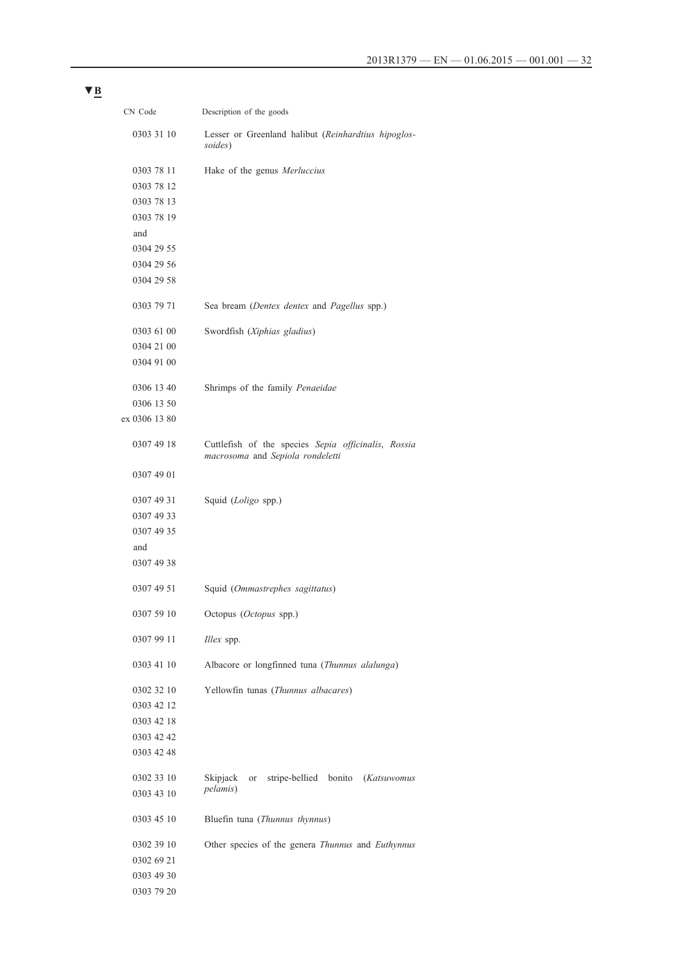| CN Code       | Description of the goods                                                                |
|---------------|-----------------------------------------------------------------------------------------|
| 0303 31 10    | Lesser or Greenland halibut (Reinhardtius hipoglos-<br>soides)                          |
| 0303 78 11    | Hake of the genus <i>Merluccius</i>                                                     |
| 0303 78 12    |                                                                                         |
| 0303 78 13    |                                                                                         |
| 0303 78 19    |                                                                                         |
| and           |                                                                                         |
| 0304 29 55    |                                                                                         |
| 0304 29 56    |                                                                                         |
| 0304 29 58    |                                                                                         |
| 0303 79 71    | Sea bream (Dentex dentex and Pagellus spp.)                                             |
| 0303 61 00    | Swordfish (Xiphias gladius)                                                             |
| 0304 21 00    |                                                                                         |
| 0304 91 00    |                                                                                         |
| 0306 13 40    | Shrimps of the family Penaeidae                                                         |
| 0306 13 50    |                                                                                         |
| ex 0306 13 80 |                                                                                         |
|               |                                                                                         |
| 0307 49 18    | Cuttlefish of the species Sepia officinalis, Rossia<br>macrosoma and Sepiola rondeletti |
| 0307 49 01    |                                                                                         |
| 0307 49 31    | Squid (Loligo spp.)                                                                     |
| 0307 49 33    |                                                                                         |
| 0307 49 35    |                                                                                         |
| and           |                                                                                         |
| 0307 49 38    |                                                                                         |
| 0307 49 51    | Squid (Ommastrephes sagittatus)                                                         |
| 0307 59 10    | Octopus (Octopus spp.)                                                                  |
| 0307 99 11    | Illex spp.                                                                              |
| 0303 41 10    | Albacore or longfinned tuna (Thunnus alalunga)                                          |
| 0302 32 10    | Yellowfin tunas (Thunnus albacares)                                                     |
| 0303 42 12    |                                                                                         |
| 0303 42 18    |                                                                                         |
| 0303 42 42    |                                                                                         |
| 0303 42 48    |                                                                                         |
| 0302 33 10    | stripe-bellied bonito (Katsuwomus<br>Skipjack<br>or                                     |
| 0303 43 10    | <i>pelamis</i> )                                                                        |
|               |                                                                                         |
| 0303 45 10    | Bluefin tuna (Thunnus thynnus)                                                          |
| 0302 39 10    | Other species of the genera Thunnus and Euthynnus                                       |
| 0302 69 21    |                                                                                         |
| 0303 49 30    |                                                                                         |
| 0303 79 20    |                                                                                         |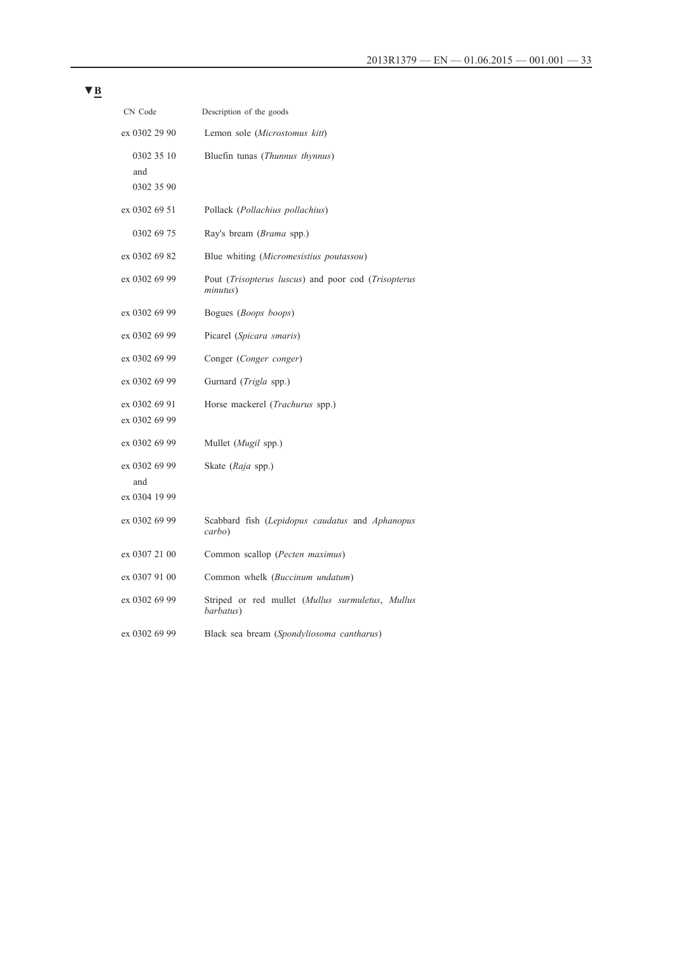| CN Code                         | Description of the goods                                                                |
|---------------------------------|-----------------------------------------------------------------------------------------|
| ex 0302 29 90                   | Lemon sole (Microstomus kitt)                                                           |
| 0302 35 10<br>and<br>0302 35 90 | Bluefin tunas (Thunnus thynnus)                                                         |
| ex 0302 69 51                   | Pollack (Pollachius pollachius)                                                         |
| 0302 69 75                      | Ray's bream ( <i>Brama</i> spp.)                                                        |
| ex 0302 69 82                   | Blue whiting (Micromesistius poutassou)                                                 |
| ex 0302 69 99                   | Pout <i>(Trisopterus luscus)</i> and poor cod <i>(Trisopterus</i> )<br><i>minutus</i> ) |
| ex 0302 69 99                   | Bogues ( <i>Boops</i> boops)                                                            |
| ex 0302 69 99                   | Picarel (Spicara smaris)                                                                |
| ex 0302 69 99                   | Conger (Conger conger)                                                                  |
| ex 0302 69 99                   | Gurnard ( <i>Trigla</i> spp.)                                                           |
| ex 0302 69 91<br>ex 0302 69 99  | Horse mackerel ( <i>Trachurus</i> spp.)                                                 |
| ex 0302 69 99                   | Mullet (Mugil spp.)                                                                     |
| ex 0302 69 99<br>and            | Skate ( <i>Raja</i> spp.)                                                               |
| ex 0304 19 99                   |                                                                                         |
| ex 0302 69 99                   | Scabbard fish (Lepidopus caudatus and Aphanopus<br>carbo)                               |
| ex 0307 21 00                   | Common scallop ( <i>Pecten maximus</i> )                                                |
| ex 0307 91 00                   | Common whelk (Buccinum undatum)                                                         |
| ex 0302 69 99                   | Striped or red mullet (Mullus surmuletus, Mullus<br>barbatus)                           |
| ex 0302 69 99                   | Black sea bream (Spondyliosoma cantharus)                                               |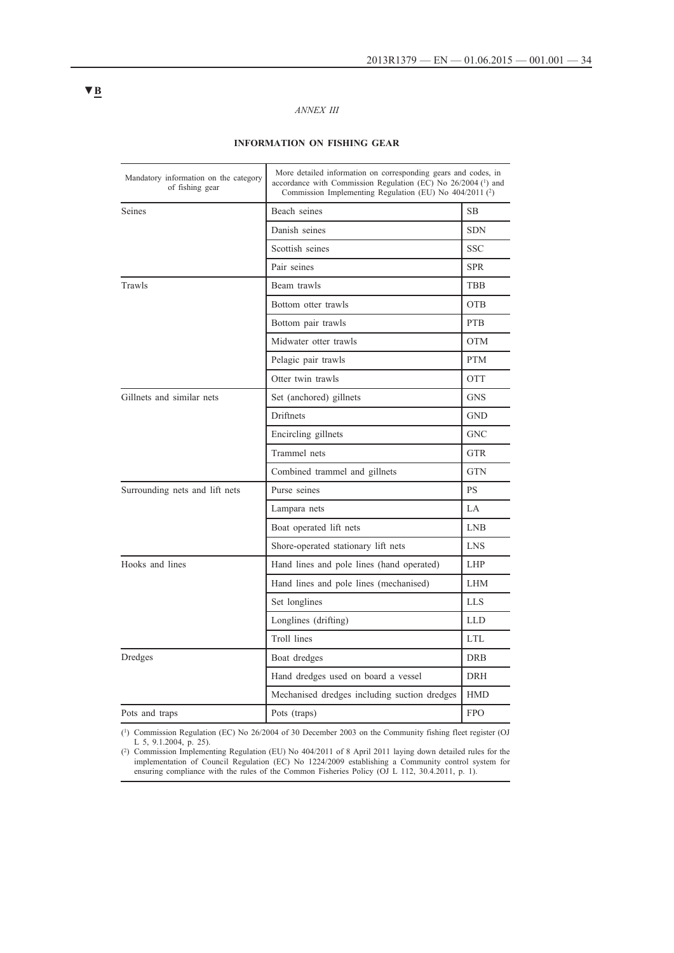# *ANNEX III*

# **INFORMATION ON FISHING GEAR**

| Mandatory information on the category<br>of fishing gear | More detailed information on corresponding gears and codes, in<br>accordance with Commission Regulation (EC) No 26/2004 (1) and<br>Commission Implementing Regulation (EU) No 404/2011 (2) |            |
|----------------------------------------------------------|--------------------------------------------------------------------------------------------------------------------------------------------------------------------------------------------|------------|
| <b>Seines</b>                                            | Beach seines                                                                                                                                                                               | <b>SB</b>  |
|                                                          | Danish seines                                                                                                                                                                              | <b>SDN</b> |
|                                                          | Scottish seines                                                                                                                                                                            | SSC.       |
|                                                          | Pair seines                                                                                                                                                                                | <b>SPR</b> |
| Trawls                                                   | Beam trawls                                                                                                                                                                                | <b>TBB</b> |
|                                                          | Bottom otter trawls                                                                                                                                                                        | <b>OTB</b> |
|                                                          | Bottom pair trawls                                                                                                                                                                         | <b>PTB</b> |
|                                                          | Midwater otter trawls                                                                                                                                                                      | <b>OTM</b> |
|                                                          | Pelagic pair trawls                                                                                                                                                                        | <b>PTM</b> |
|                                                          | Otter twin trawls                                                                                                                                                                          | <b>OTT</b> |
| Gillnets and similar nets                                | Set (anchored) gillnets                                                                                                                                                                    | <b>GNS</b> |
|                                                          | Driftnets                                                                                                                                                                                  | <b>GND</b> |
|                                                          | Encircling gillnets                                                                                                                                                                        | <b>GNC</b> |
|                                                          | Trammel nets                                                                                                                                                                               | <b>GTR</b> |
|                                                          | Combined trammel and gillnets                                                                                                                                                              | <b>GTN</b> |
| Surrounding nets and lift nets                           | Purse seines                                                                                                                                                                               | <b>PS</b>  |
|                                                          | Lampara nets                                                                                                                                                                               | LA         |
|                                                          | Boat operated lift nets                                                                                                                                                                    | <b>LNB</b> |
|                                                          | Shore-operated stationary lift nets                                                                                                                                                        | <b>LNS</b> |
| Hooks and lines                                          | Hand lines and pole lines (hand operated)                                                                                                                                                  | <b>LHP</b> |
|                                                          | Hand lines and pole lines (mechanised)                                                                                                                                                     | <b>LHM</b> |
|                                                          | Set longlines                                                                                                                                                                              | LLS        |
|                                                          | Longlines (drifting)                                                                                                                                                                       | <b>LLD</b> |
|                                                          | Troll lines                                                                                                                                                                                | LTL.       |
| Dredges                                                  | Boat dredges                                                                                                                                                                               | <b>DRB</b> |
|                                                          | Hand dredges used on board a vessel                                                                                                                                                        | <b>DRH</b> |
|                                                          | Mechanised dredges including suction dredges                                                                                                                                               | <b>HMD</b> |
| Pots and traps                                           | Pots (traps)                                                                                                                                                                               | <b>FPO</b> |
|                                                          |                                                                                                                                                                                            |            |

(1) Commission Regulation (EC) No 26/2004 of 30 December 2003 on the Community fishing fleet register (OJ L 5, 9.1.2004, p. 25).

(2) Commission Implementing Regulation (EU) No 404/2011 of 8 April 2011 laying down detailed rules for the implementation of Council Regulation (EC) No 1224/2009 establishing a Community control system for ensuring compliance with the rules of the Common Fisheries Policy (OJ L 112, 30.4.2011, p. 1).